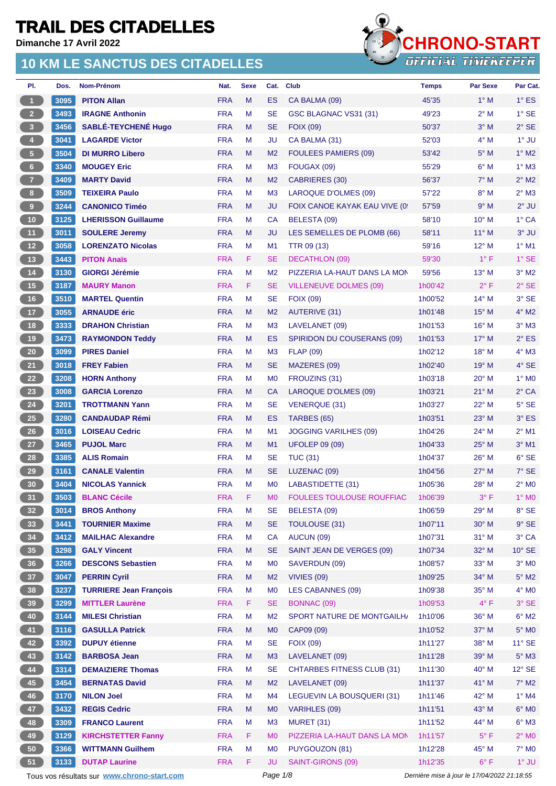**Dimanche 17 Avril 2022**

### **10 KM LE SANCTUS DES CITADELLES**



| PI.                  | Dos.   | Nom-Prénom                                  | Nat.       | <b>Sexe</b> | Cat.           | <b>Club</b>                       | <b>Temps</b>       | <b>Par Sexe</b>                             | Par Cat.        |
|----------------------|--------|---------------------------------------------|------------|-------------|----------------|-----------------------------------|--------------------|---------------------------------------------|-----------------|
| $\blacktriangleleft$ | 3095   | <b>PITON Allan</b>                          | <b>FRA</b> | M           | ES             | CA BALMA (09)                     | 45'35              | $1^\circ$ M                                 | $1^{\circ}$ ES  |
| $2^{\circ}$          | 3493   | <b>IRAGNE Anthonin</b>                      | <b>FRA</b> | M           | <b>SE</b>      | GSC BLAGNAC VS31 (31)             | 49'23              | $2^{\circ}$ M                               | $1^\circ$ SE    |
| 3 <sup>2</sup>       | 3456   | <b>SABLÉ-TEYCHENE Hugo</b>                  | <b>FRA</b> | М           | <b>SE</b>      | <b>FOIX (09)</b>                  | 50'37              | $3^\circ$ M                                 | $2^{\circ}$ SE  |
| 4 <sup>1</sup>       | 3041   | <b>LAGARDE Victor</b>                       | <b>FRA</b> | М           | JU             | CA BALMA (31)                     | 52'03              | $4^\circ$ M                                 | 1° JU           |
| 5 <sub>1</sub>       | 3504   | <b>DI MURRO Libero</b>                      | <b>FRA</b> | M           | M <sub>2</sub> | <b>FOULEES PAMIERS (09)</b>       | 53'42              | $5^\circ$ M                                 | $1^\circ$ M2    |
| $6 -$                | 3340   | <b>MOUGEY Eric</b>                          | <b>FRA</b> | M           | M <sub>3</sub> | FOUGAX (09)                       | 55'29              | $6^{\circ}$ M                               | $1^\circ$ M3    |
| 7 <sup>2</sup>       | 3409   | <b>MARTY David</b>                          | <b>FRA</b> | M           | M <sub>2</sub> | <b>CABRIERES (30)</b>             | 56'37              | $7^\circ$ M                                 | $2^{\circ}$ M2  |
| 8 <sub>1</sub>       | 3509   | <b>TEIXEIRA Paulo</b>                       | <b>FRA</b> | M           | M <sub>3</sub> | LAROQUE D'OLMES (09)              | 57'22              | $8^\circ$ M                                 | $2^{\circ}$ M3  |
| 9 <sup>°</sup>       | 3244   | <b>CANONICO Timéo</b>                       | <b>FRA</b> | M           | <b>JU</b>      | FOIX CANOE KAYAK EAU VIVE (0)     | 57'59              | 9° M                                        | $2^{\circ}$ JU  |
| 10 <sub>1</sub>      | 3125   | <b>LHERISSON Guillaume</b>                  | <b>FRA</b> | М           | CA             | BELESTA (09)                      | 58'10              | 10° M                                       | 1° CA           |
| 11 <sup>1</sup>      | 3011   | <b>SOULERE Jeremy</b>                       | <b>FRA</b> | М           | <b>JU</b>      | LES SEMELLES DE PLOMB (66)        | 58'11              | $11^{\circ}$ M                              | $3°$ JU         |
| 12 <sup>7</sup>      | 3058   | <b>LORENZATO Nicolas</b>                    | <b>FRA</b> | M           | M1             | TTR 09 (13)                       | 59'16              | $12^{\circ}$ M                              | $1^\circ$ M1    |
| 13 <sup>°</sup>      | 3443   | <b>PITON Anaïs</b>                          | <b>FRA</b> | F.          | <b>SE</b>      | <b>DECATHLON (09)</b>             | 59'30              | $1^{\circ}$ F                               | $1^\circ$ SE    |
| 14                   | 3130   | <b>GIORGI Jérémie</b>                       | <b>FRA</b> | M           | M <sub>2</sub> | PIZZERIA LA-HAUT DANS LA MON      | 59'56              | $13^{\circ}$ M                              | $3^\circ$ M2    |
| 15                   | 3187   | <b>MAURY Manon</b>                          | <b>FRA</b> | F           | <b>SE</b>      | <b>VILLENEUVE DOLMES (09)</b>     | 1h00'42            | $2^{\circ}$ F                               | $2°$ SE         |
| 16                   | 3510   | <b>MARTEL Quentin</b>                       | <b>FRA</b> | M           | <b>SE</b>      | <b>FOIX (09)</b>                  | 1h00'52            | 14° M                                       | 3° SE           |
| 17 <sup>2</sup>      | 3055   | <b>ARNAUDE éric</b>                         | <b>FRA</b> | M           | M <sub>2</sub> | <b>AUTERIVE (31)</b>              | 1h01'48            | $15^{\circ}$ M                              | $4^\circ$ M2    |
| 18                   | 3333   | <b>DRAHON Christian</b>                     | <b>FRA</b> | M           | M <sub>3</sub> | LAVELANET (09)                    | 1h01'53            | $16^{\circ}$ M                              | $3°$ M $3$      |
| 19                   | 3473   | <b>RAYMONDON Teddy</b>                      | <b>FRA</b> | м           | ES             | <b>SPIRIDON DU COUSERANS (09)</b> | 1h01'53            | $17^\circ$ M                                | $2^{\circ}$ ES  |
| 20 <sub>2</sub>      | 3099   | <b>PIRES Daniel</b>                         | <b>FRA</b> | M           | M <sub>3</sub> | <b>FLAP (09)</b>                  | 1h02'12            | 18° M                                       | $4^\circ$ M3    |
| 21                   | 3018   | <b>FREY Fabien</b>                          | <b>FRA</b> | M           | <b>SE</b>      |                                   |                    | $19°$ M                                     | 4° SE           |
| 22                   | 3208   | <b>HORN Anthony</b>                         | <b>FRA</b> | M           | M <sub>0</sub> | MAZERES (09)<br>FROUZINS (31)     | 1h02'40<br>1h03'18 | $20^{\circ}$ M                              | $1^\circ$ MO    |
| 23                   |        |                                             | <b>FRA</b> |             |                |                                   |                    |                                             |                 |
|                      | 3008   | <b>GARCIA Lorenzo</b>                       |            | M           | <b>CA</b>      | LAROQUE D'OLMES (09)              | 1h03'21            | $21°$ M                                     | $2°$ CA         |
| 24                   | 3201   | <b>TROTTMANN Yann</b>                       | <b>FRA</b> | M           | <b>SE</b>      | <b>VENERQUE (31)</b>              | 1h03'27            | 22° M                                       | $5^\circ$ SE    |
| 25                   | 3280   | <b>CANDAUDAP Rémi</b>                       | <b>FRA</b> | М           | <b>ES</b>      | TARBES (65)                       | 1h03'51            | 23° M                                       | 3° ES           |
| 26                   | 3016   | <b>LOISEAU Cedric</b>                       | <b>FRA</b> | М           | M <sub>1</sub> | <b>JOGGING VARILHES (09)</b>      | 1h04'26            | 24° M                                       | $2^{\circ}$ M1  |
| 27 <sub>2</sub>      | 3465   | <b>PUJOL Marc</b>                           | <b>FRA</b> | M           | M1             | <b>UFOLEP 09 (09)</b>             | 1h04'33            | 25° M                                       | $3°$ M1         |
| 28                   | 3385   | <b>ALIS Romain</b>                          | <b>FRA</b> | M           | <b>SE</b>      | <b>TUC (31)</b>                   | 1h04'37            | $26^{\circ}$ M                              | $6°$ SE         |
| 29                   | 3161   | <b>CANALE Valentin</b>                      | <b>FRA</b> | M           | <b>SE</b>      | LUZENAC (09)                      | 1h04'56            | $27^\circ$ M                                | $7°$ SE         |
| 30 <sub>2</sub>      | 3404   | <b>NICOLAS Yannick</b>                      | <b>FRA</b> | M           | M <sub>0</sub> | LABASTIDETTE (31)                 | 1h05'36            | $28^{\circ}$ M                              | $2^\circ$ MO    |
| 31                   | $3503$ | <b>BLANC Cécile</b>                         | <b>FRA</b> | $\mathsf F$ | <b>MO</b>      | FOULEES TOULOUSE ROUFFIAC         | 1h06'39            | $3^\circ$ F                                 | $1^\circ$ MO    |
| 32 <sub>2</sub>      | 3014   | <b>BROS Anthony</b>                         | <b>FRA</b> | M           | <b>SE</b>      | BELESTA (09)                      | 1h06'59            | $29°$ M                                     | 8° SE           |
| 33 <sup>°</sup>      | 3441   | <b>TOURNIER Maxime</b>                      | <b>FRA</b> | M           | <b>SE</b>      | TOULOUSE (31)                     | 1h07'11            | 30° M                                       | $9°$ SE         |
| 34                   | 3412   | <b>MAILHAC Alexandre</b>                    | <b>FRA</b> | M           | CA             | AUCUN (09)                        | 1h07'31            | 31° M                                       | 3° CA           |
| 35 <sup>°</sup>      | 3298   | <b>GALY Vincent</b>                         | <b>FRA</b> | M           | <b>SE</b>      | SAINT JEAN DE VERGES (09)         | 1h07'34            | 32° M                                       | $10^{\circ}$ SE |
| 36 <sup>°</sup>      | 3266   | <b>DESCONS Sebastien</b>                    | <b>FRA</b> | M           | M <sub>0</sub> | SAVERDUN (09)                     | 1h08'57            | 33° M                                       | $3^\circ$ MO    |
| 37                   | 3047   | <b>PERRIN Cyril</b>                         | <b>FRA</b> | M           | M <sub>2</sub> | VIVIES (09)                       | 1h09'25            | 34° M                                       | $5^\circ$ M2    |
| 38                   | 3237   | <b>TURRIERE Jean François</b>               | <b>FRA</b> | М           | M <sub>0</sub> | LES CABANNES (09)                 | 1h09'38            | 35° M                                       | $4^\circ$ MO    |
| 39                   | 3299   | <b>MITTLER Laurène</b>                      | <b>FRA</b> | F           | <b>SE</b>      | <b>BONNAC (09)</b>                | 1h09'53            | $4^{\circ}$ F                               | 3° SE           |
| 40                   | 3144   | <b>MILESI Christian</b>                     | <b>FRA</b> | M           | M <sub>2</sub> | SPORT NATURE DE MONTGAILH/        | 1h10'06            | 36° M                                       | $6^{\circ}$ M2  |
| 41                   | 3116   | <b>GASULLA Patrick</b>                      | <b>FRA</b> | M           | M <sub>0</sub> | CAP09 (09)                        | 1h10'52            | 37° M                                       | $5^\circ$ MO    |
| 42 <sup>7</sup>      | 3392   | <b>DUPUY</b> étienne                        | <b>FRA</b> | M           | <b>SE</b>      | <b>FOIX (09)</b>                  | 1h11'27            | 38° M                                       | $11^\circ$ SE   |
| 43                   | 3142   | <b>BARBOSA Jean</b>                         | <b>FRA</b> | M           | M <sub>3</sub> | LAVELANET (09)                    | 1h11'28            | 39° M                                       | $5^\circ$ M3    |
| 44                   | 3314   | <b>DEMAIZIERE Thomas</b>                    | <b>FRA</b> | M           | <b>SE</b>      | <b>CHTARBES FITNESS CLUB (31)</b> | 1h11'30            | $40^{\circ}$ M                              | $12^{\circ}$ SE |
| 45                   | 3454   | <b>BERNATAS David</b>                       | <b>FRA</b> | M           | M <sub>2</sub> | LAVELANET (09)                    | 1h11'37            | 41° M                                       | $7^\circ$ M2    |
| 46                   | 3170   | <b>NILON Joel</b>                           | <b>FRA</b> | M           | M4             | LEGUEVIN LA BOUSQUERI (31)        | 1h11'46            | 42° M                                       | $1^\circ$ M4    |
| 47                   | 3432   | <b>REGIS Cedric</b>                         | <b>FRA</b> | M           | M <sub>0</sub> | VARIHLES (09)                     | 1h11'51            | 43° M                                       | $6^\circ$ MO    |
| 48                   | 3309   | <b>FRANCO Laurent</b>                       | <b>FRA</b> | M           | M <sub>3</sub> | <b>MURET (31)</b>                 | 1h11'52            | 44° M                                       | $6^\circ$ M3    |
| 49                   | 3129   | <b>KIRCHSTETTER Fanny</b>                   | <b>FRA</b> | F           | M <sub>0</sub> | PIZZERIA LA-HAUT DANS LA MON      | 1h11'57            | $5^{\circ}$ F                               | $2^{\circ}$ MO  |
| 50                   | 3366   | <b>WITTMANN Guilhem</b>                     | <b>FRA</b> | M           | M <sub>0</sub> | PUYGOUZON (81)                    | 1h12'28            | 45° M                                       | $7^\circ$ MO    |
| 51                   | 3133   | <b>DUTAP Laurine</b>                        | <b>FRA</b> | F           | JU             | SAINT-GIRONS (09)                 | 1h12'35            | $6^{\circ}$ F                               | $1°$ JU         |
|                      |        | Tous vos résultats sur www.chrono-start.com |            |             | Page 1/8       |                                   |                    | Dernière mise à jour le 17/04/2022 21:18:55 |                 |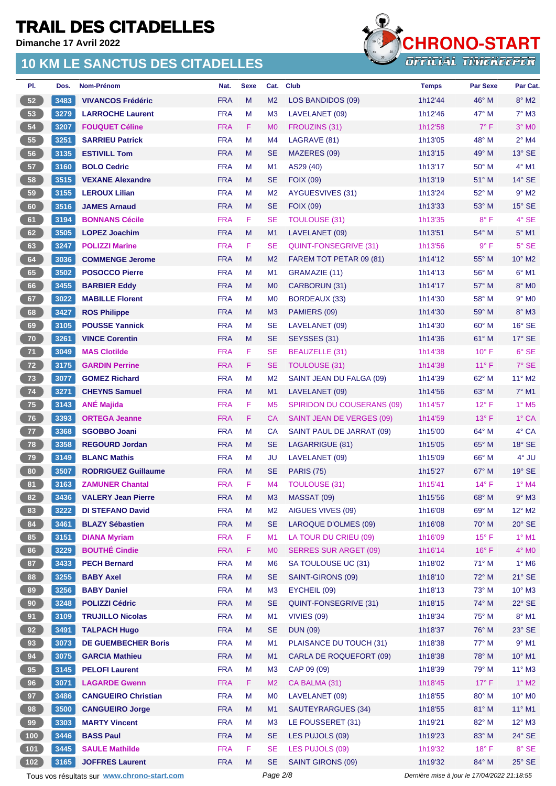**Dimanche 17 Avril 2022**

### **10 KM LE SANCTUS DES CITADELLES**



| PI.             | Dos.   | Nom-Prénom                 | Nat.       | <b>Sexe</b>                                                                                                | Cat.           | <b>Club</b>                       | <b>Temps</b> | <b>Par Sexe</b> | Par Cat.                 |
|-----------------|--------|----------------------------|------------|------------------------------------------------------------------------------------------------------------|----------------|-----------------------------------|--------------|-----------------|--------------------------|
| 52              | 3483   | <b>VIVANCOS Frédéric</b>   | <b>FRA</b> | M                                                                                                          | M <sub>2</sub> | LOS BANDIDOS (09)                 | 1h12'44      | $46^{\circ}$ M  | $8^\circ$ M2             |
| 53              | 3279   | <b>LARROCHE Laurent</b>    | <b>FRA</b> | М                                                                                                          | M <sub>3</sub> | LAVELANET (09)                    | 1h12'46      | 47° M           | $7^\circ$ M3             |
| 54              | 3207   | <b>FOUQUET Céline</b>      | <b>FRA</b> | F.                                                                                                         | M <sub>0</sub> | FROUZINS (31)                     | 1h12'58      | $7^\circ$ F     | $3°$ MO                  |
| 55              | 3251   | <b>SARRIEU Patrick</b>     | <b>FRA</b> | М                                                                                                          | M4             | LAGRAVE (81)                      | 1h13'05      | 48° M           | $2^{\circ}$ M4           |
| 56              | 3135   | <b>ESTIVILL Tom</b>        | <b>FRA</b> | M                                                                                                          | <b>SE</b>      | MAZERES (09)                      | 1h13'15      | 49° M           | $13^\circ$ SE            |
| 57              | 3160   | <b>BOLO Cedric</b>         | <b>FRA</b> | M                                                                                                          | M <sub>1</sub> | AS29 (40)                         | 1h13'17      | $50^{\circ}$ M  | $4^\circ$ M1             |
| 58              | 3515   | <b>VEXANE Alexandre</b>    | <b>FRA</b> | M                                                                                                          | SE             | <b>FOIX (09)</b>                  | 1h13'19      | 51° M           | $14^\circ$ SE            |
| 59              | 3155   | <b>LEROUX Lilian</b>       | <b>FRA</b> | м                                                                                                          | M <sub>2</sub> | AYGUESVIVES (31)                  | 1h13'24      | 52° M           | $9°$ M2                  |
| 60              | 3516   | <b>JAMES Arnaud</b>        | <b>FRA</b> | М                                                                                                          | <b>SE</b>      | <b>FOIX (09)</b>                  | 1h13'33      | 53° M           | $15^\circ$ SE            |
| 61              | 3194   | <b>BONNANS Cécile</b>      | <b>FRA</b> | F                                                                                                          | SE             | <b>TOULOUSE (31)</b>              | 1h13'35      | $8^{\circ}$ F   | 4° SE                    |
| 62              | 3505   | <b>LOPEZ Joachim</b>       | <b>FRA</b> | M                                                                                                          | M1             | LAVELANET (09)                    | 1h13'51      | 54° M           | $5^\circ$ M1             |
| 63              | 3247   | <b>POLIZZI Marine</b>      | <b>FRA</b> | F                                                                                                          | SE             | QUINT-FONSEGRIVE (31)             | 1h13'56      | $9^{\circ}$ F   | $5^\circ$ SE             |
| 64              | 3036   | <b>COMMENGE Jerome</b>     | <b>FRA</b> | M                                                                                                          | M <sub>2</sub> | FAREM TOT PETAR 09 (81)           | 1h14'12      | 55° M           | $10^{\circ}$ M2          |
| 65              | 3502   | <b>POSOCCO Pierre</b>      | <b>FRA</b> | M                                                                                                          | M1             | GRAMAZIE (11)                     | 1h14'13      | 56° M           | $6^{\circ}$ M1           |
| 66              | 3455   | <b>BARBIER Eddy</b>        | <b>FRA</b> | M                                                                                                          | M <sub>0</sub> | CARBORUN (31)                     | 1h14'17      | $57^\circ$ M    | 8° MO                    |
| 67              | 3022   | <b>MABILLE Florent</b>     | <b>FRA</b> | М                                                                                                          | M <sub>0</sub> | <b>BORDEAUX (33)</b>              | 1h14'30      | 58° M           | $9°$ MO                  |
| 68              | 3427   | <b>ROS Philippe</b>        | <b>FRA</b> | M                                                                                                          | M <sub>3</sub> | PAMIERS (09)                      | 1h14'30      | 59° M           | $8^\circ$ M3             |
| 69              | 3105   | <b>POUSSE Yannick</b>      | <b>FRA</b> | M                                                                                                          | SE             | LAVELANET (09)                    | 1h14'30      | 60° M           | $16°$ SE                 |
| 70              | 3261   | <b>VINCE Corentin</b>      | <b>FRA</b> | M                                                                                                          | <b>SE</b>      | SEYSSES (31)                      | 1h14'36      | 61° M           | $17^\circ$ SE            |
| 71              | 3049   | <b>MAS Clotilde</b>        | <b>FRA</b> | F                                                                                                          | SE             | BEAUZELLE (31)                    | 1h14'38      | $10^{\circ}$ F  | $6°$ SE                  |
| 72              | 3175   | <b>GARDIN Perrine</b>      | <b>FRA</b> | F                                                                                                          | SE             | <b>TOULOUSE (31)</b>              | 1h14'38      | $11^{\circ}$ F  | $7°$ SE                  |
| 73              | 3077   | <b>GOMEZ Richard</b>       | <b>FRA</b> | M                                                                                                          | M <sub>2</sub> | SAINT JEAN DU FALGA (09)          | 1h14'39      | 62° M           | 11° M2                   |
| $74$            | 3271   | <b>CHEYNS Samuel</b>       | <b>FRA</b> | M                                                                                                          | M1             | LAVELANET (09)                    | 1h14'56      | $63^\circ$ M    | $7^\circ$ M1             |
| 75 <sub>2</sub> | 3143   | <b>ANÉ Majida</b>          | <b>FRA</b> | F                                                                                                          | M <sub>5</sub> | <b>SPIRIDON DU COUSERANS (09)</b> | 1h14'57      | $12^{\circ}$ F  | $1^\circ$ M <sub>5</sub> |
| 76              | 3393   | <b>ORTEGA Jeanne</b>       | <b>FRA</b> | F                                                                                                          | <b>CA</b>      | SAINT JEAN DE VERGES (09)         | 1h14'59      | $13^{\circ}$ F  | $1^\circ$ CA             |
| 77 <sub>z</sub> | 3368   | <b>SGOBBO Joani</b>        | <b>FRA</b> | М                                                                                                          | CA             | SAINT PAUL DE JARRAT (09)         | 1h15'00      | $64^{\circ}$ M  | 4° CA                    |
| 78              | 3358   | <b>REGOURD Jordan</b>      | <b>FRA</b> | M                                                                                                          | <b>SE</b>      | LAGARRIGUE (81)                   | 1h15'05      | 65° M           | $18^\circ$ SE            |
| 79              | 3149   | <b>BLANC Mathis</b>        | <b>FRA</b> | M                                                                                                          | JU             | LAVELANET (09)                    | 1h15'09      | $66^{\circ}$ M  | $4^\circ$ JU             |
| 80              | 3507   | <b>RODRIGUEZ Guillaume</b> | <b>FRA</b> | M                                                                                                          | SE             | <b>PARIS (75)</b>                 | 1h15'27      | $67^\circ$ M    | $19°$ SE                 |
| 81              | 3163   | <b>ZAMUNER Chantal</b>     | <b>FRA</b> | F                                                                                                          | M4             | <b>TOULOUSE (31)</b>              | 1h15'41      | $14^{\circ}$ F  | $1^\circ$ M4             |
| 82              | $3436$ | <b>VALERY Jean Pierre</b>  | <b>FRA</b> | $\mathsf{M}% _{T}=\mathsf{M}_{T}\!\left( a,b\right) ,\ \mathsf{M}_{T}=\mathsf{M}_{T}\!\left( a,b\right) ,$ | M3             | MASSAT (09)                       | 1h15'56      | 68° M           | $9^\circ$ M3             |
| 83              | 3222   | <b>DI STEFANO David</b>    | <b>FRA</b> | M                                                                                                          | M <sub>2</sub> | AIGUES VIVES (09)                 | 1h16'08      | 69° M           | $12^{\circ}$ M2          |
| 84              | 3461   | <b>BLAZY Sébastien</b>     | <b>FRA</b> | M                                                                                                          | <b>SE</b>      | LAROQUE D'OLMES (09)              | 1h16'08      | 70° M           | $20^\circ$ SE            |
| 85              | 3151   | <b>DIANA Myriam</b>        | <b>FRA</b> | F                                                                                                          | M1             | LA TOUR DU CRIEU (09)             | 1h16'09      | $15^{\circ}$ F  | $1^\circ$ M1             |
| 86              | 3229   | <b>BOUTHÉ Cindie</b>       | <b>FRA</b> | F                                                                                                          | M <sub>0</sub> | <b>SERRES SUR ARGET (09)</b>      | 1h16'14      | $16^{\circ}$ F  | $4^\circ$ MO             |
| 87              | 3433   | <b>PECH Bernard</b>        | <b>FRA</b> | M                                                                                                          | M <sub>6</sub> | SA TOULOUSE UC (31)               | 1h18'02      | $71^\circ$ M    | $1^\circ$ M6             |
| 88              | 3255   | <b>BABY Axel</b>           | <b>FRA</b> | M                                                                                                          | <b>SE</b>      | SAINT-GIRONS (09)                 | 1h18'10      | 72° M           | $21^\circ$ SE            |
| 89              | 3256   | <b>BABY Daniel</b>         | <b>FRA</b> | M                                                                                                          | M <sub>3</sub> | EYCHEIL (09)                      | 1h18'13      | 73° M           | $10^{\circ}$ M3          |
| 90 <sub>o</sub> | 3248   | <b>POLIZZI Cédric</b>      | <b>FRA</b> | M                                                                                                          | <b>SE</b>      | QUINT-FONSEGRIVE (31)             | 1h18'15      | $74^\circ$ M    | $22^\circ$ SE            |
| 91              | 3109   | <b>TRUJILLO Nicolas</b>    | <b>FRA</b> | M                                                                                                          | M1             | VIVIES (09)                       | 1h18'34      | 75° M           | $8^{\circ}$ M1           |
| 92              | 3491   | <b>TALPACH Hugo</b>        | <b>FRA</b> | M                                                                                                          | <b>SE</b>      | <b>DUN (09)</b>                   | 1h18'37      | 76° M           | $23^\circ$ SE            |
| 93              | 3073   | <b>DE GUEMBECHER Boris</b> | <b>FRA</b> | M                                                                                                          | M1             | PLAISANCE DU TOUCH (31)           | 1h18'38      | 77° M           | $9°$ M1                  |
| 94              | 3075   | <b>GARCIA Mathieu</b>      | <b>FRA</b> | М                                                                                                          | M1             | CARLA DE ROQUEFORT (09)           | 1h18'38      | 78° M           | $10^{\circ}$ M1          |
| 95              | 3145   | <b>PELOFI Laurent</b>      | <b>FRA</b> | М                                                                                                          | M <sub>3</sub> | CAP 09 (09)                       | 1h18'39      | 79° M           | $11^{\circ}$ M3          |
| 96              | 3071   | <b>LAGARDE Gwenn</b>       | <b>FRA</b> | F                                                                                                          | M <sub>2</sub> | CA BALMA (31)                     | 1h18'45      | $17^\circ$ F    | $1^\circ$ M2             |
| 97              | 3486   | <b>CANGUEIRO Christian</b> | <b>FRA</b> | M                                                                                                          | M <sub>0</sub> | LAVELANET (09)                    | 1h18'55      | 80° M           | 10° MO                   |
| 98              | 3500   | <b>CANGUEIRO Jorge</b>     | <b>FRA</b> | M                                                                                                          | M1             | SAUTEYRARGUES (34)                | 1h18'55      | 81° M           | $11^{\circ}$ M1          |
| 99              | 3303   | <b>MARTY Vincent</b>       | <b>FRA</b> | М                                                                                                          | M <sub>3</sub> | LE FOUSSERET (31)                 | 1h19'21      | 82° M           | $12^{\circ}$ M3          |
| 100             | 3446   | <b>BASS Paul</b>           | <b>FRA</b> | M                                                                                                          | <b>SE</b>      | LES PUJOLS (09)                   | 1h19'23      | 83° M           | $24^{\circ}$ SE          |
| 101             | 3445   | <b>SAULE Mathilde</b>      | <b>FRA</b> | F                                                                                                          | <b>SE</b>      | LES PUJOLS (09)                   | 1h19'32      | $18^{\circ}$ F  | 8° SE                    |
| $102$           | 3165   | <b>JOFFRES Laurent</b>     | <b>FRA</b> | M                                                                                                          | <b>SE</b>      | SAINT GIRONS (09)                 | 1h19'32      | 84° M           | $25^\circ$ SE            |

Tous vos résultats sur **[www.chrono-start.com](https://www.chrono-start.com/)** Page 2/8 Page 2/8 Dernière mise à jour le 17/04/2022 21:18:55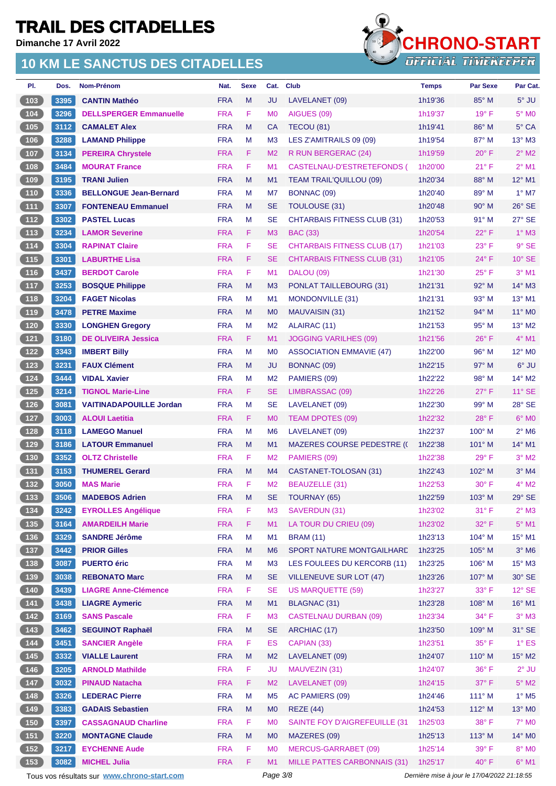**Dimanche 17 Avril 2022**

### **10 KM LE SANCTUS DES CITADELLES**



| PI.                                           | Dos. | <b>Nom-Prénom</b>              | Nat.       | <b>Sexe</b> | Cat.           | <b>Club</b>                        | <b>Temps</b> | <b>Par Sexe</b> | Par Cat.                   |
|-----------------------------------------------|------|--------------------------------|------------|-------------|----------------|------------------------------------|--------------|-----------------|----------------------------|
| 103                                           | 3395 | <b>CANTIN Mathéo</b>           | <b>FRA</b> | M           | JU             | LAVELANET (09)                     | 1h19'36      | $85^\circ$ M    | $5^\circ$ JU               |
| 104                                           | 3296 | <b>DELLSPERGER Emmanuelle</b>  | <b>FRA</b> | F           | M <sub>0</sub> | AIGUES (09)                        | 1h19'37      | $19°$ F         | 5° M <sub>0</sub>          |
| 105                                           | 3112 | <b>CAMALET Alex</b>            | <b>FRA</b> | M           | <b>CA</b>      | TECOU (81)                         | 1h19'41      | $86^\circ$ M    | $5^\circ$ CA               |
| 106                                           | 3288 | <b>LAMAND Philippe</b>         | <b>FRA</b> | M           | M <sub>3</sub> | LES Z'AMITRAILS 09 (09)            | 1h19'54      | $87^\circ$ M    | $13^{\circ}$ M3            |
| 107                                           | 3134 | <b>PEREIRA Chrystele</b>       | <b>FRA</b> | F           | M <sub>2</sub> | R RUN BERGERAC (24)                | 1h19'59      | $20^\circ$ F    | $2^{\circ}$ M2             |
| 108                                           | 3484 | <b>MOURAT France</b>           | <b>FRA</b> | F           | M1             | CASTELNAU-D'ESTRETEFONDS (         | 1h20'00      | $21^{\circ}$ F  | $2^{\circ}$ M1             |
| 109                                           | 3195 | <b>TRANI Julien</b>            | <b>FRA</b> | M           | M1             | <b>TEAM TRAIL'QUILLOU (09)</b>     | 1h20'34      | 88° M           | $12^{\circ}$ M1            |
| $110$                                         | 3336 | <b>BELLONGUE Jean-Bernard</b>  | <b>FRA</b> | M           | M7             | BONNAC (09)                        | 1h20'40      | 89° M           | $1^\circ$ M7               |
| $111$                                         | 3307 | <b>FONTENEAU Emmanuel</b>      | <b>FRA</b> | M           | <b>SE</b>      | <b>TOULOUSE (31)</b>               | 1h20'48      | $90^\circ$ M    | $26^\circ$ SE              |
| $112$                                         | 3302 | <b>PASTEL Lucas</b>            | <b>FRA</b> | M           | <b>SE</b>      | <b>CHTARBAIS FITNESS CLUB (31)</b> | 1h20'53      | 91° M           | 27° SE                     |
| $\begin{array}{c} \boxed{113} \end{array}$    | 3234 | <b>LAMOR Severine</b>          | <b>FRA</b> | F           | M <sub>3</sub> | <b>BAC (33)</b>                    | 1h20'54      | $22^{\circ}$ F  | $1^\circ$ M3               |
| $114$                                         | 3304 | <b>RAPINAT Claire</b>          | <b>FRA</b> | F           | <b>SE</b>      | <b>CHTARBAIS FITNESS CLUB (17)</b> | 1h21'03      | $23^{\circ}$ F  | $9°$ SE                    |
| $115$                                         | 3301 | <b>LABURTHE Lisa</b>           | <b>FRA</b> | F           | <b>SE</b>      | <b>CHTARBAIS FITNESS CLUB (31)</b> | 1h21'05      | $24^{\circ}$ F  | $10^{\circ}$ SE            |
| $116$                                         | 3437 | <b>BERDOT Carole</b>           | <b>FRA</b> | F           | M1             | <b>DALOU (09)</b>                  | 1h21'30      | $25^{\circ}$ F  | $3°$ M1                    |
| $\begin{array}{c} \boxed{117} \\ \end{array}$ | 3253 | <b>BOSQUE Philippe</b>         | <b>FRA</b> | M           | M <sub>3</sub> | <b>PONLAT TAILLEBOURG (31)</b>     | 1h21'31      | $92^\circ$ M    | $14^\circ$ M3              |
| 118                                           | 3204 | <b>FAGET Nicolas</b>           | <b>FRA</b> | M           | M <sub>1</sub> | MONDONVILLE (31)                   | 1h21'31      | 93° M           | 13° M1                     |
| 119                                           | 3478 | <b>PETRE Maxime</b>            | <b>FRA</b> | M           | M <sub>0</sub> | MAUVAISIN (31)                     | 1h21'52      | $94^{\circ}$ M  | $11^\circ$ MO              |
| 120                                           | 3330 | <b>LONGHEN Gregory</b>         | <b>FRA</b> | M           | M <sub>2</sub> | ALAIRAC (11)                       | 1h21'53      | $95^\circ$ M    | $13^\circ$ M2              |
| $121$                                         | 3180 | <b>DE OLIVEIRA Jessica</b>     | <b>FRA</b> | F           | M <sub>1</sub> | <b>JOGGING VARILHES (09)</b>       | 1h21'56      | $26^{\circ}$ F  | $4^{\circ}$ M1             |
| $122$                                         | 3343 | <b>IMBERT Billy</b>            | <b>FRA</b> | M           | M <sub>0</sub> | <b>ASSOCIATION EMMAVIE (47)</b>    | 1h22'00      | 96° M           | 12° M <sub>0</sub>         |
| 123                                           | 3231 | <b>FAUX Clément</b>            | <b>FRA</b> | M           | JU             | BONNAC (09)                        | 1h22'15      | $97^\circ$ M    | 6° JU                      |
| 124                                           | 3444 | <b>VIDAL Xavier</b>            | <b>FRA</b> | M           | M <sub>2</sub> | PAMIERS (09)                       | 1h22'22      | $98^\circ$ M    | 14° M2                     |
| 125                                           | 3214 | <b>TIGNOL Marie-Line</b>       | <b>FRA</b> | F           | <b>SE</b>      | LIMBRASSAC (09)                    | 1h22'26      | $27^\circ$ F    | $11^\circ$ SE              |
| 126                                           | 3081 | <b>VAITINADAPOUILLE Jordan</b> | <b>FRA</b> | M           | <b>SE</b>      | LAVELANET (09)                     | 1h22'30      | 99° M           | 28° SE                     |
| $127$                                         | 3003 | <b>ALOUI Laetitia</b>          | <b>FRA</b> | F           | M <sub>0</sub> | TEAM DPOTES (09)                   | 1h22'32      | $28^{\circ}$ F  | $6°$ MO                    |
| 128                                           | 3118 | <b>LAMEGO Manuel</b>           | <b>FRA</b> | M           | M <sub>6</sub> | LAVELANET (09)                     | 1h22'37      | $100^\circ$ M   | $2^{\circ}$ M <sub>6</sub> |
| 129                                           | 3186 | <b>LATOUR Emmanuel</b>         | <b>FRA</b> | M           | M1             | <b>MAZERES COURSE PEDESTRE (C</b>  | 1h22'38      | $101^\circ$ M   | 14° M1                     |
| $130$                                         | 3352 | <b>OLTZ Christelle</b>         | <b>FRA</b> | F           | M <sub>2</sub> | PAMIERS (09)                       | 1h22'38      | $29^\circ$ F    | $3°$ M <sub>2</sub>        |
| $131$                                         | 3153 | <b>THUMEREL Gerard</b>         | <b>FRA</b> | M           | M4             | CASTANET-TOLOSAN (31)              | 1h22'43      | 102° M          | $3°$ M4                    |
| 132                                           | 3050 | <b>MAS Marie</b>               | <b>FRA</b> | F           | M <sub>2</sub> | <b>BEAUZELLE (31)</b>              | 1h22'53      | 30° F           | $4^{\circ}$ M2             |
| (133)                                         |      | 3506 MADEBOS Adrien            | FRA M      |             | SE             | TOURNAY (65)                       | 1h22'59      | 103° M          | 29° SE                     |
| 134                                           | 3242 | <b>EYROLLES Angélique</b>      | <b>FRA</b> | F           | M <sub>3</sub> | SAVERDUN (31)                      | 1h23'02      | $31^{\circ}$ F  | $2^{\circ}$ M3             |
| $135$                                         | 3164 | <b>AMARDEILH Marie</b>         | <b>FRA</b> | F           | M1             | LA TOUR DU CRIEU (09)              | 1h23'02      | 32° F           | $5^\circ$ M1               |
| $\left[ 136 \right]$                          | 3329 | <b>SANDRE Jérôme</b>           | <b>FRA</b> | M           | M1             | <b>BRAM (11)</b>                   | 1h23'13      | 104° M          | 15° M1                     |
| (137)                                         | 3442 | <b>PRIOR Gilles</b>            | <b>FRA</b> | M           | M <sub>6</sub> | SPORT NATURE MONTGAILHARD          | 1h23'25      | 105° M          | $3°$ M <sub>6</sub>        |
| $\begin{bmatrix} 138 \end{bmatrix}$           | 3087 | <b>PUERTO éric</b>             | <b>FRA</b> | M           | M <sub>3</sub> | LES FOULEES DU KERCORB (11)        | 1h23'25      | 106° M          | $15^{\circ}$ M3            |
| 139                                           | 3038 | <b>REBONATO Marc</b>           | <b>FRA</b> | M           | <b>SE</b>      | <b>VILLENEUVE SUR LOT (47)</b>     | 1h23'26      | 107° M          | $30^\circ$ SE              |
| 140                                           | 3439 | <b>LIAGRE Anne-Clémence</b>    | <b>FRA</b> | F           | <b>SE</b>      | <b>US MARQUETTE (59)</b>           | 1h23'27      | 33° F           | $12^{\circ}$ SE            |
| $\begin{array}{c} \boxed{141} \end{array}$    | 3438 | <b>LIAGRE Aymeric</b>          | <b>FRA</b> | M           | M1             | <b>BLAGNAC (31)</b>                | 1h23'28      | 108° M          | 16° M1                     |
| $\begin{array}{c} \boxed{142} \\ \end{array}$ | 3169 | <b>SANS Pascale</b>            | <b>FRA</b> | F           | M <sub>3</sub> | <b>CASTELNAU DURBAN (09)</b>       | 1h23'34      | 34° F           | $3^\circ$ M3               |
| 143                                           | 3462 | <b>SEGUINOT Raphaël</b>        | <b>FRA</b> | M           | <b>SE</b>      | ARCHIAC (17)                       | 1h23'50      | 109° M          | 31° SE                     |
| 144                                           | 3451 | <b>SANCIER Angèle</b>          | <b>FRA</b> | F           | <b>ES</b>      | CAPIAN (33)                        | 1h23'51      | $35^{\circ}$ F  | $1^\circ$ ES               |
| 145                                           | 3332 | <b>VIALLE Laurent</b>          | <b>FRA</b> | M           | M <sub>2</sub> | LAVELANET (09)                     | 1h24'07      | $110^{\circ}$ M | 15° M2                     |
| 146                                           | 3205 | <b>ARNOLD Mathilde</b>         | <b>FRA</b> | F           | <b>JU</b>      | MAUVEZIN (31)                      | 1h24'07      | 36° F           | $2^{\circ}$ JU             |
| $147$                                         | 3032 | <b>PINAUD Natacha</b>          | <b>FRA</b> | F           | M <sub>2</sub> | LAVELANET (09)                     | 1h24'15      | $37^\circ$ F    | $5^\circ$ M2               |
| $148$                                         | 3326 | <b>LEDERAC Pierre</b>          | <b>FRA</b> | M           | M <sub>5</sub> | AC PAMIERS (09)                    | 1h24'46      | 111° M          | $1^\circ$ M <sub>5</sub>   |
| 149                                           | 3383 | <b>GADAIS Sebastien</b>        | <b>FRA</b> | M           | M <sub>0</sub> | <b>REZE (44)</b>                   | 1h24'53      | 112° M          | 13° MO                     |
| 150                                           | 3397 | <b>CASSAGNAUD Charline</b>     | <b>FRA</b> | F           | M <sub>0</sub> | SAINTE FOY D'AIGREFEUILLE (31      | 1h25'03      | $38^\circ$ F    | $7°$ MO                    |
| 151                                           | 3220 | <b>MONTAGNE Claude</b>         | <b>FRA</b> | M           | M <sub>0</sub> | MAZERES (09)                       | 1h25'13      | $113^\circ$ M   | 14° MO                     |
| $152$                                         | 3217 | <b>EYCHENNE Aude</b>           | <b>FRA</b> | F           | M <sub>0</sub> | <b>MERCUS-GARRABET (09)</b>        | 1h25'14      | $39^\circ$ F    | $8^\circ$ MO               |
| (153)                                         | 3082 | <b>MICHEL Julia</b>            | <b>FRA</b> | F           | M1             | MILLE PATTES CARBONNAIS (31)       | 1h25'17      | $40^{\circ}$ F  | $6^\circ$ M1               |

Tous vos résultats sur **[www.chrono-start.com](https://www.chrono-start.com/)** Page 3/8 Page 3/8 Dernière mise à jour le 17/04/2022 21:18:55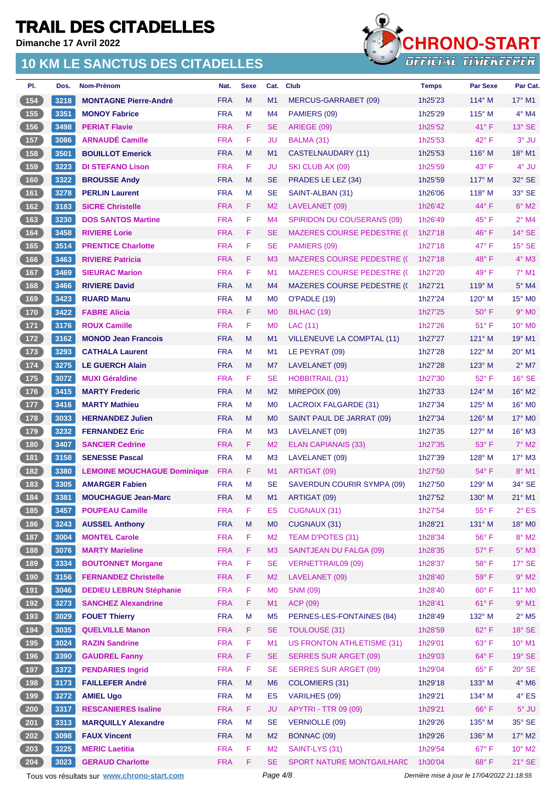**Dimanche 17 Avril 2022**

### **10 KM LE SANCTUS DES CITADELLES**



| PI.                                        | Dos. | Nom-Prénom                         | Nat.       | <b>Sexe</b> | Cat.           | Club                               | <b>Temps</b> | <b>Par Sexe</b> | Par Cat.                    |
|--------------------------------------------|------|------------------------------------|------------|-------------|----------------|------------------------------------|--------------|-----------------|-----------------------------|
| 154                                        | 3218 | <b>MONTAGNE Pierre-André</b>       | <b>FRA</b> | M           | M1             | MERCUS-GARRABET (09)               | 1h25'23      | $114^\circ$ M   | $17^\circ$ M1               |
| 155                                        | 3351 | <b>MONOY Fabrice</b>               | <b>FRA</b> | M           | M4             | PAMIERS (09)                       | 1h25'29      | $115^\circ$ M   | $4^\circ$ M4                |
| 156                                        | 3498 | <b>PERIAT Flavie</b>               | <b>FRA</b> | F           | <b>SE</b>      | ARIEGE (09)                        | 1h25'52      | $41^{\circ}$ F  | $13^\circ$ SE               |
| 157                                        | 3086 | <b>ARNAUDÉ Camille</b>             | <b>FRA</b> | F           | JU             | BALMA (31)                         | 1h25'53      | $42^{\circ}$ F  | 3° JU                       |
| 158                                        | 3501 | <b>BOUILLOT Emerick</b>            | <b>FRA</b> | M           | M1             | CASTELNAUDARY (11)                 | 1h25'53      | $116^\circ$ M   | $18^{\circ}$ M1             |
| 159                                        | 3223 | <b>DI STEFANO Lison</b>            | <b>FRA</b> | F           | JU             | SKI CLUB AX (09)                   | 1h25'59      | 43° F           | 4° JU                       |
| $160$                                      | 3322 | <b>BROUSSE Andy</b>                | <b>FRA</b> | M           | <b>SE</b>      | PRADES LE LEZ (34)                 | 1h25'59      | $117^\circ$ M   | $32^{\circ}$ SE             |
| 161                                        | 3278 | <b>PERLIN Laurent</b>              | <b>FRA</b> | M           | <b>SE</b>      | SAINT-ALBAN (31)                   | 1h26'06      | $118^\circ$ M   | 33° SE                      |
| 162                                        | 3183 | <b>SICRE Christelle</b>            | <b>FRA</b> | F           | M <sub>2</sub> | LAVELANET (09)                     | 1h26'42      | $44^{\circ}$ F  | $6^\circ$ M2                |
| $163$                                      | 3230 | <b>DOS SANTOS Martine</b>          | <b>FRA</b> | F           | M4             | SPIRIDON DU COUSERANS (09)         | 1h26'49      | $45^{\circ}$ F  | $2^{\circ}$ M4              |
| 164                                        | 3458 | <b>RIVIERE Lorie</b>               | <b>FRA</b> | F           | <b>SE</b>      | <b>MAZERES COURSE PEDESTRE (C</b>  | 1h27'18      | $46^{\circ}$ F  | $14^\circ$ SE               |
| $165$                                      | 3514 | <b>PRENTICE Charlotte</b>          | <b>FRA</b> | F           | <b>SE</b>      | PAMIERS (09)                       | 1h27'18      | $47^\circ$ F    | $15^\circ$ SE               |
| (166)                                      | 3463 | <b>RIVIERE Patricia</b>            | <b>FRA</b> | F           | M <sub>3</sub> | <b>MAZERES COURSE PEDESTRE (()</b> | 1h27'18      | $48^{\circ}$ F  | $4^\circ$ M3                |
| 167                                        | 3469 | <b>SIEURAC Marion</b>              | <b>FRA</b> | F           | M1             | <b>MAZERES COURSE PEDESTRE (C</b>  | 1h27'20      | $49^{\circ}$ F  | $7°$ M1                     |
| 168                                        | 3466 | <b>RIVIERE David</b>               | <b>FRA</b> | M           | M4             | <b>MAZERES COURSE PEDESTRE (()</b> | 1h27'21      | $119^\circ$ M   | $5^\circ$ M4                |
| 169                                        | 3423 | <b>RUARD Manu</b>                  | <b>FRA</b> | M           | M <sub>0</sub> | O'PADLE (19)                       | 1h27'24      | $120^\circ$ M   | $15^{\circ}$ MO             |
| 170                                        | 3422 | <b>FABRE Alicia</b>                | <b>FRA</b> | F           | M <sub>0</sub> | BILHAC (19)                        | 1h27'25      | $50^\circ$ F    | $9°$ M <sub>0</sub>         |
| $171$                                      | 3176 | <b>ROUX Camille</b>                | <b>FRA</b> | F           | M <sub>0</sub> | LAC (11)                           | 1h27'26      | $51^{\circ}$ F  | $10^{\circ}$ MO             |
| $\boxed{172}$                              | 3162 | <b>MONOD Jean Francois</b>         | <b>FRA</b> | M           | M1             | VILLENEUVE LA COMPTAL (11)         | 1h27'27      | $121^\circ$ M   | $19^\circ$ M1               |
| $\boxed{173}$                              | 3293 | <b>CATHALA Laurent</b>             | <b>FRA</b> | M           | M <sub>1</sub> | LE PEYRAT (09)                     | 1h27'28      | $122^{\circ}$ M | $20^\circ$ M1               |
| $174$                                      | 3275 | <b>LE GUERCH Alain</b>             | <b>FRA</b> | M           | M7             | LAVELANET (09)                     | 1h27'28      | $123^\circ$ M   | $2^{\circ}$ M7              |
| $175$                                      | 3072 | <b>MUXI Géraldine</b>              | <b>FRA</b> | F           | <b>SE</b>      | <b>HOBBITRAIL (31)</b>             | 1h27'30      | 52° F           | $16^\circ$ SE               |
| $\sqrt{176}$                               | 3415 | <b>MARTY Frederic</b>              | <b>FRA</b> | M           | M <sub>2</sub> | MIREPOIX (09)                      | 1h27'33      | $124^\circ$ M   | $16^{\circ}$ M <sub>2</sub> |
| $177$                                      | 3416 | <b>MARTY Mathieu</b>               | <b>FRA</b> | M           | M <sub>0</sub> | <b>LACROIX FALGARDE (31)</b>       | 1h27'34      | $125^\circ$ M   | $16^{\circ}$ MO             |
| 178                                        | 3033 | <b>HERNANDEZ Julien</b>            | <b>FRA</b> | M           | M <sub>0</sub> | SAINT PAUL DE JARRAT (09)          | 1h27'34      | $126^\circ$ M   | $17^\circ$ MO               |
| $179$                                      | 3232 | <b>FERNANDEZ Eric</b>              | <b>FRA</b> | M           | M <sub>3</sub> | LAVELANET (09)                     | 1h27'35      | $127^\circ$ M   | $16^\circ$ M3               |
| (180)                                      | 3407 | <b>SANCIER Cedrine</b>             | <b>FRA</b> | F           | M <sub>2</sub> | <b>ELAN CAPIANAIS (33)</b>         | 1h27'35      | $53^\circ$ F    | $7^\circ$ M2                |
| $181$                                      | 3158 | <b>SENESSE Pascal</b>              | <b>FRA</b> | M           | M <sub>3</sub> | LAVELANET (09)                     | 1h27'39      | $128^\circ$ M   | $17^\circ$ M3               |
| 182                                        | 3380 | <b>LEMOINE MOUCHAGUE Dominique</b> | <b>FRA</b> | F           | M1             | ARTIGAT (09)                       | 1h27'50      | $54^{\circ}$ F  | $8^\circ$ M1                |
| 183                                        | 3305 | <b>AMARGER Fabien</b>              | <b>FRA</b> | M           | <b>SE</b>      | SAVERDUN COURIR SYMPA (09)         | 1h27'50      | $129^\circ$ M   | $34^\circ$ SE               |
| (184)                                      | 3381 | <b>MOUCHAGUE Jean-Marc</b>         | <b>FRA</b> | M           | M1             | ARTIGAT (09)                       | 1h27'52      | $130^\circ$ M   | $21^{\circ}$ M1             |
| 185                                        | 3457 | <b>POUPEAU Camille</b>             | <b>FRA</b> | F           | ES             | <b>CUGNAUX (31)</b>                | 1h27'54      | $55^{\circ}$ F  | $2^{\circ}$ ES              |
| 186                                        | 3243 | <b>AUSSEL Anthony</b>              | <b>FRA</b> | M           | M <sub>0</sub> | CUGNAUX (31)                       | 1h28'21      | 131° M          | 18° MO                      |
| 187                                        | 3004 | <b>MONTEL Carole</b>               | <b>FRA</b> | F           | M <sub>2</sub> | <b>TEAM D'POTES (31)</b>           | 1h28'34      | 56°F            | $8^\circ$ M2                |
| (188)                                      | 3076 | <b>MARTY Marieline</b>             | <b>FRA</b> | F           | M <sub>3</sub> | SAINTJEAN DU FALGA (09)            | 1h28'35      | $57^\circ$ F    | $5^\circ$ M3                |
| 189                                        | 3334 | <b>BOUTONNET Morgane</b>           | <b>FRA</b> | F           | <b>SE</b>      | <b>VERNETTRAIL09 (09)</b>          | 1h28'37      | 58°F            | 17° SE                      |
| (190)                                      | 3156 | <b>FERNANDEZ Christelle</b>        | <b>FRA</b> | F           | M <sub>2</sub> | LAVELANET (09)                     | 1h28'40      | 59° F           | $9°$ M2                     |
| $\begin{array}{c} \boxed{191} \end{array}$ | 3046 | <b>DEDIEU LEBRUN Stéphanie</b>     | <b>FRA</b> | F           | M <sub>0</sub> | <b>SNM (09)</b>                    | 1h28'40      | $60^\circ$ F    | $11^{\circ}$ MO             |
| (192)                                      | 3273 | <b>SANCHEZ Alexandrine</b>         | <b>FRA</b> | F           | M1             | ACP (09)                           | 1h28'41      | 61°F            | $9°$ M1                     |
| 193                                        | 3029 | <b>FOUET Thierry</b>               | <b>FRA</b> | M           | M <sub>5</sub> | PERNES-LES-FONTAINES (84)          | 1h28'49      | 132° M          | $2^{\circ}$ M5              |
| (194)                                      | 3035 | <b>QUELVILLE Manon</b>             | <b>FRA</b> | F           | <b>SE</b>      | <b>TOULOUSE (31)</b>               | 1h28'59      | 62°F            | 18° SE                      |
|                                            | 3024 | <b>RAZIN Sandrine</b>              | <b>FRA</b> | F           | M1             | US FRONTON ATHLETISME (31)         | 1h29'01      | $63^\circ$ F    | $10^{\circ}$ M1             |
| 196                                        | 3390 | <b>GAUDREL Fanny</b>               | <b>FRA</b> | F           | <b>SE</b>      | <b>SERRES SUR ARGET (09)</b>       | 1h29'03      | $64^{\circ}$ F  | $19°$ SE                    |
| 197                                        | 3372 | <b>PENDARIES Ingrid</b>            | <b>FRA</b> | F           | <b>SE</b>      | <b>SERRES SUR ARGET (09)</b>       | 1h29'04      | 65°F            | $20^{\circ}$ SE             |
| (198)                                      | 3173 | <b>FAILLEFER André</b>             | <b>FRA</b> | M           | M <sub>6</sub> | <b>COLOMIERS (31)</b>              | 1h29'18      | 133° M          | $4^\circ$ M6                |
| 199                                        | 3272 | <b>AMIEL Ugo</b>                   | <b>FRA</b> | M           | ES             | <b>VARILHES (09)</b>               | 1h29'21      | 134° M          | $4^\circ$ ES                |
| 200                                        | 3317 | <b>RESCANIERES Isaline</b>         | <b>FRA</b> | F           | <b>JU</b>      | <b>APYTRI - TTR 09 (09)</b>        | 1h29'21      | 66°F            | $5^\circ$ JU                |
| 201                                        | 3313 | <b>MARQUILLY Alexandre</b>         | <b>FRA</b> | M           | <b>SE</b>      | <b>VERNIOLLE (09)</b>              | 1h29'26      | $135^\circ$ M   | 35° SE                      |
| 202                                        | 3098 | <b>FAUX Vincent</b>                | <b>FRA</b> | M           | M <sub>2</sub> | BONNAC (09)                        | 1h29'26      | 136° M          | $17^\circ$ M2               |
| 203                                        | 3225 | <b>MERIC Laetitia</b>              | <b>FRA</b> | F           | M <sub>2</sub> | SAINT-LYS (31)                     | 1h29'54      | 67°F            | $10^{\circ}$ M2             |
| 204                                        | 3023 | <b>GERAUD Charlotte</b>            | <b>FRA</b> | F           | <b>SE</b>      | SPORT NATURE MONTGAILHARD          | 1h30'04      | $68^{\circ}$ F  | $21^\circ$ SE               |

Tous vos résultats sur **[www.chrono-start.com](https://www.chrono-start.com/)** Page 4/8 Page 4/8 Dernière mise à jour le 17/04/2022 21:18:55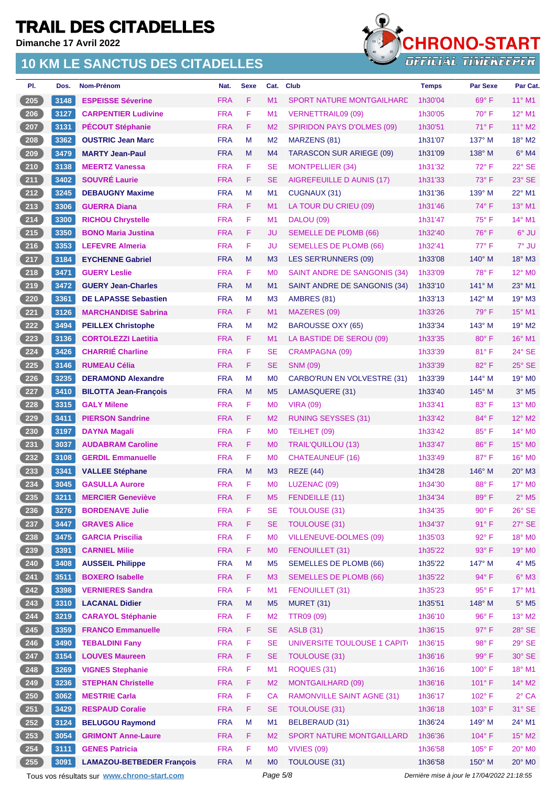**Dimanche 17 Avril 2022**

### **10 KM LE SANCTUS DES CITADELLES**



| PI.    | Dos.         | Nom-Prénom                       | Nat.       | <b>Sexe</b> | Cat.           | <b>Club</b>                        | <b>Temps</b> | <b>Par Sexe</b> | Par Cat.                 |
|--------|--------------|----------------------------------|------------|-------------|----------------|------------------------------------|--------------|-----------------|--------------------------|
| 205    | 3148         | <b>ESPEISSE Séverine</b>         | <b>FRA</b> | F           | M <sub>1</sub> | <b>SPORT NATURE MONTGAILHARE</b>   | 1h30'04      | $69^\circ$ F    | $11^{\circ}$ M1          |
| 206    | 3127         | <b>CARPENTIER Ludivine</b>       | <b>FRA</b> | F           | M1             | <b>VERNETTRAIL09 (09)</b>          | 1h30'05      | $70^\circ$ F    | 12° M1                   |
| 207    | 3131         | <b>PÉCOUT Stéphanie</b>          | <b>FRA</b> | F           | M <sub>2</sub> | <b>SPIRIDON PAYS D'OLMES (09)</b>  | 1h30'51      | 71° F           | 11° M2                   |
| 208    | 3362         | <b>OUSTRIC Jean Marc</b>         | <b>FRA</b> | M           | M <sub>2</sub> | MARZENS (81)                       | 1h31'07      | 137° M          | $18^\circ$ M2            |
| 209    | 3479         | <b>MARTY Jean-Paul</b>           | <b>FRA</b> | M           | M <sub>4</sub> | <b>TARASCON SUR ARIEGE (09)</b>    | 1h31'09      | $138^\circ$ M   | $6°$ M4                  |
| 210    | 3138         | <b>MEERTZ Vanessa</b>            | <b>FRA</b> | F           | <b>SE</b>      | <b>MONTPELLIER (34)</b>            | 1h31'32      | 72°F            | 22° SE                   |
| $211$  | 3402         | <b>SOUVRÉ Laurie</b>             | <b>FRA</b> | F           | <b>SE</b>      | AIGREFEUILLE D AUNIS (17)          | 1h31'33      | $73^\circ$ F    | 23° SE                   |
| 212    | 3245         | <b>DEBAUGNY Maxime</b>           | <b>FRA</b> | M           | M1             | CUGNAUX (31)                       | 1h31'36      | 139° M          | 22° M1                   |
| 213    | 3306         | <b>GUERRA Diana</b>              | <b>FRA</b> | F.          | M1             | LA TOUR DU CRIEU (09)              | 1h31'46      | 74° F           | 13° M1                   |
| 214    | 3300         | <b>RICHOU Chrystelle</b>         | <b>FRA</b> | F.          | M1             | DALOU (09)                         | 1h31'47      | $75^{\circ}$ F  | $14^{\circ}$ M1          |
| 215    | 3350         | <b>BONO Maria Justina</b>        | <b>FRA</b> | F           | <b>JU</b>      | <b>SEMELLE DE PLOMB (66)</b>       | 1h32'40      | 76°F            | 6° JU                    |
| 216    | 3353         | <b>LEFEVRE Almeria</b>           | <b>FRA</b> | F           | JU             | <b>SEMELLES DE PLOMB (66)</b>      | 1h32'41      | 77° F           | 7° JU                    |
| 217    | 3184         | <b>EYCHENNE Gabriel</b>          | <b>FRA</b> | M           | M <sub>3</sub> | LES SER'RUNNERS (09)               | 1h33'08      | 140° M          | 18° M3                   |
| 218    | 3471         | <b>GUERY Leslie</b>              | <b>FRA</b> | F           | M <sub>0</sub> | SAINT ANDRE DE SANGONIS (34)       | 1h33'09      | 78°F            | 12° MO                   |
| 219    | 3472         | <b>GUERY Jean-Charles</b>        | <b>FRA</b> | M           | M1             | SAINT ANDRE DE SANGONIS (34)       | 1h33'10      | 141° M          | $23^\circ$ M1            |
| 220    | 3361         | <b>DE LAPASSE Sebastien</b>      | <b>FRA</b> | M           | M <sub>3</sub> | AMBRES (81)                        | 1h33'13      | 142° M          | 19° M3                   |
| 221    | 3126         | <b>MARCHANDISE Sabrina</b>       | <b>FRA</b> | F.          | M1             | MAZERES (09)                       | 1h33'26      | $79^\circ$ F    | 15° M1                   |
| 222    | 3494         | <b>PEILLEX Christophe</b>        | <b>FRA</b> | M           | M <sub>2</sub> | <b>BAROUSSE OXY (65)</b>           | 1h33'34      | $143^\circ$ M   | 19° M2                   |
| 223    | 3136         | <b>CORTOLEZZI Laetitia</b>       | <b>FRA</b> | F           | M1             | LA BASTIDE DE SEROU (09)           | 1h33'35      | 80°F            | 16° M1                   |
| 224    | 3426         | <b>CHARRIÉ Charline</b>          | <b>FRA</b> | F           | <b>SE</b>      | <b>CRAMPAGNA (09)</b>              | 1h33'39      | 81°F            | 24° SE                   |
| 225    | 3146         | <b>RUMEAU Célia</b>              | <b>FRA</b> | F           | <b>SE</b>      | <b>SNM (09)</b>                    | 1h33'39      | 82°F            | $25^\circ$ SE            |
| 226    | 3235         | <b>DERAMOND Alexandre</b>        | <b>FRA</b> | M           | M <sub>0</sub> | <b>CARBO'RUN EN VOLVESTRE (31)</b> | 1h33'39      | 144° M          | 19° M <sub>0</sub>       |
| 227    | 3410         | <b>BILOTTA Jean-François</b>     | <b>FRA</b> | M           | M <sub>5</sub> | LAMASQUERE (31)                    | 1h33'40      | $145^\circ$ M   | $3°$ M <sub>5</sub>      |
| 228    | 3315         | <b>GALY Milene</b>               | <b>FRA</b> | F           | M <sub>0</sub> | <b>VIRA (09)</b>                   | 1h33'41      | 83° F           | 13° MO                   |
| 229    | 3411         | <b>PIERSON Sandrine</b>          | <b>FRA</b> | F           | M <sub>2</sub> | <b>RUNING SEYSSES (31)</b>         | 1h33'42      | 84°F            | 12° M2                   |
| 230    | 3197         | <b>DAYNA Magali</b>              | <b>FRA</b> | F.          | M <sub>0</sub> | TEILHET (09)                       | 1h33'42      | 85°F            | 14° MO                   |
| 231    | 3037         | <b>AUDABRAM Caroline</b>         | <b>FRA</b> | F           | M <sub>0</sub> | <b>TRAIL'QUILLOU (13)</b>          | 1h33'47      | 86°F            | 15° MO                   |
| 232    | 3108         | <b>GERDIL Emmanuelle</b>         | <b>FRA</b> | F           | M <sub>0</sub> | <b>CHATEAUNEUF (16)</b>            | 1h33'49      | 87°F            | 16° MO                   |
| 233    | 3341         | <b>VALLEE Stéphane</b>           | <b>FRA</b> | M           | M <sub>3</sub> | <b>REZE (44)</b>                   | 1h34'28      | $146^\circ$ M   | $20^\circ$ M3            |
| 234    | 3045         | <b>GASULLA Aurore</b>            | <b>FRA</b> | F           | M <sub>0</sub> | LUZENAC (09)                       | 1h34'30      | $88^\circ$ F    | 17° M0                   |
| $235)$ | $\vert$ 3211 | <b>MERCIER Geneviève</b>         | <b>FRA</b> | F.          |                | M5 FENDEILLE (11)                  | 1h34'34      | $89^\circ$ F    | $2^{\circ}$ M5           |
| 236    | 3276         | <b>BORDENAVE Julie</b>           | <b>FRA</b> | F           | <b>SE</b>      | <b>TOULOUSE (31)</b>               | 1h34'35      | $90^\circ$ F    | $26^\circ$ SE            |
| 237    | 3447         | <b>GRAVES Alice</b>              | <b>FRA</b> | F           | <b>SE</b>      | <b>TOULOUSE (31)</b>               | 1h34'37      | 91° F           | 27° SE                   |
| 238    | 3475         | <b>GARCIA Priscilia</b>          | <b>FRA</b> | F           | M <sub>0</sub> | <b>VILLENEUVE-DOLMES (09)</b>      | 1h35'03      | 92°F            | 18° MO                   |
| 239    | 3391         | <b>CARNIEL Milie</b>             | <b>FRA</b> | F           | M <sub>0</sub> | FENOUILLET (31)                    | 1h35'22      | $93^\circ$ F    | 19° MO                   |
| 240    | 3408         | <b>AUSSEIL Philippe</b>          | <b>FRA</b> | M           | M <sub>5</sub> | <b>SEMELLES DE PLOMB (66)</b>      | 1h35'22      | 147° M          | $4^\circ$ M <sub>5</sub> |
| 241    | 3511         | <b>BOXERO Isabelle</b>           | <b>FRA</b> | F.          | M3             | <b>SEMELLES DE PLOMB (66)</b>      | 1h35'22      | $94^{\circ}$ F  | $6^\circ$ M3             |
| 242    | 3398         | <b>VERNIERES Sandra</b>          | <b>FRA</b> | F           | M1             | FENOUILLET (31)                    | 1h35'23      | 95° F           | 17° M1                   |
| 243    | 3310         | <b>LACANAL Didier</b>            | <b>FRA</b> | M           | M <sub>5</sub> | <b>MURET (31)</b>                  | 1h35'51      | 148° M          | $5^\circ$ M5             |
| 244    | 3219         | <b>CARAYOL Stéphanie</b>         | <b>FRA</b> | F.          | M <sub>2</sub> | <b>TTR09 (09)</b>                  | 1h36'10      | 96°F            | 13° M2                   |
| 245    | 3359         | <b>FRANCO Emmanuelle</b>         | <b>FRA</b> | F           | <b>SE</b>      | <b>ASLB</b> (31)                   | 1h36'15      | $97^\circ$ F    | 28° SE                   |
| 246    | 3490         | <b>TEBALDINI Fany</b>            | <b>FRA</b> | F           | <b>SE</b>      | UNIVERSITE TOULOUSE 1 CAPIT(       | 1h36'15      | 98°F            | 29° SE                   |
| 247    | 3154         | <b>LOUVES Maureen</b>            | <b>FRA</b> | F           | <b>SE</b>      | <b>TOULOUSE (31)</b>               | 1h36'16      | 99° F           | 30° SE                   |
| 248    | 3269         | <b>VIGNES Stephanie</b>          | <b>FRA</b> | F           | M1             | ROQUES (31)                        | 1h36'16      | 100°F           | 18° M1                   |
| 249    | 3236         | <b>STEPHAN Christelle</b>        | <b>FRA</b> | F           | M <sub>2</sub> | <b>MONTGAILHARD (09)</b>           | 1h36'16      | 101°F           | 14° M2                   |
| 250    | 3062         | <b>MESTRIE Carla</b>             | <b>FRA</b> | F           | <b>CA</b>      | <b>RAMONVILLE SAINT AGNE (31)</b>  | 1h36'17      | 102°F           | $2^{\circ}$ CA           |
| 251    | 3429         | <b>RESPAUD Coralie</b>           | <b>FRA</b> | F           | <b>SE</b>      | <b>TOULOUSE (31)</b>               | 1h36'18      | $103^\circ$ F   | 31° SE                   |
| 252    | 3124         | <b>BELUGOU Raymond</b>           | <b>FRA</b> | M           | M1             | BELBERAUD (31)                     | 1h36'24      | 149° M          | 24° M1                   |
| 253    | 3054         | <b>GRIMONT Anne-Laure</b>        | <b>FRA</b> | F.          | M <sub>2</sub> | <b>SPORT NATURE MONTGAILLARD</b>   | 1h36'36      | 104°F           | 15° M2                   |
| 254    | 3111         | <b>GENES Patricia</b>            | <b>FRA</b> | F           | M <sub>0</sub> | <b>VIVIES (09)</b>                 | 1h36'58      | $105^\circ$ F   | 20° MO                   |
| 255    | 3091         | <b>LAMAZOU-BETBEDER François</b> | <b>FRA</b> | M           | M <sub>0</sub> | TOULOUSE (31)                      | 1h36'58      | 150° M          | 20° MO                   |

Tous vos résultats sur **[www.chrono-start.com](https://www.chrono-start.com/)** Page 5/8 Dernière mise à jour le 17/04/2022 21:18:55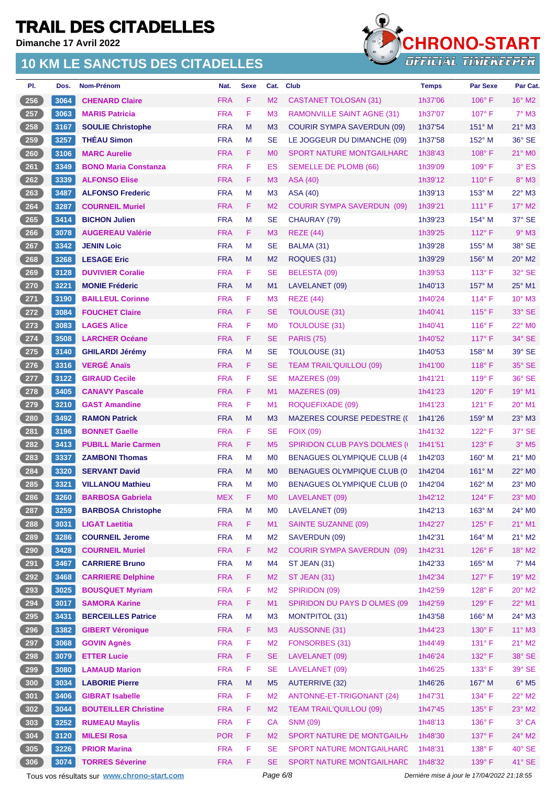**Dimanche 17 Avril 2022**

### **10 KM LE SANCTUS DES CITADELLES**



| PI.           | Dos.   | Nom-Prénom                  | Nat.       | <b>Sexe</b> | Cat.           | <b>Club</b>                          | <b>Temps</b> | <b>Par Sexe</b> | Par Cat.                    |
|---------------|--------|-----------------------------|------------|-------------|----------------|--------------------------------------|--------------|-----------------|-----------------------------|
| 256           | 3064   | <b>CHENARD Claire</b>       | <b>FRA</b> | F           | M <sub>2</sub> | CASTANET TOLOSAN (31)                | 1h37'06      | $106^\circ$ F   | $16^{\circ}$ M2             |
| 257           | 3063   | <b>MARIS Patricia</b>       | <b>FRA</b> | F           | M <sub>3</sub> | RAMONVILLE SAINT AGNE (31)           | 1h37'07      | $107^\circ$ F   | $7^\circ$ M3                |
| 258           | 3167   | <b>SOULIE Christophe</b>    | <b>FRA</b> | M           | M <sub>3</sub> | <b>COURIR SYMPA SAVERDUN (09)</b>    | 1h37'54      | 151° M          | $21^\circ$ M3               |
| 259           | 3257   | <b>THÉAU Simon</b>          | <b>FRA</b> | М           | <b>SE</b>      | LE JOGGEUR DU DIMANCHE (09)          | 1h37'58      | $152^{\circ}$ M | 36° SE                      |
| 260           | 3106   | <b>MARC Aurelie</b>         | <b>FRA</b> | F.          | M <sub>0</sub> | SPORT NATURE MONTGAILHARD            | 1h38'43      | 108°F           | 21° MO                      |
| 261           | 3349   | <b>BONO Maria Constanza</b> | <b>FRA</b> | F           | ES             | <b>SEMELLE DE PLOMB (66)</b>         | 1h39'09      | $109^\circ$ F   | $3°$ ES                     |
| 262           | 3339   | <b>ALFONSO Elise</b>        | <b>FRA</b> | F           | M <sub>3</sub> | <b>ASA (40)</b>                      | 1h39'12      | $110^{\circ}$ F | 8° M3                       |
| 263           | 3487   | <b>ALFONSO Frederic</b>     | <b>FRA</b> | М           | M <sub>3</sub> | <b>ASA (40)</b>                      | 1h39'13      | $153^\circ$ M   | $22^{\circ}$ M3             |
| 264           | 3287   | <b>COURNEIL Muriel</b>      | <b>FRA</b> | F           | M <sub>2</sub> | <b>COURIR SYMPA SAVERDUN (09)</b>    | 1h39'21      | $111^{\circ}$ F | $17^\circ$ M2               |
| 265           | 3414   | <b>BICHON Julien</b>        | <b>FRA</b> | M           | <b>SE</b>      | CHAURAY (79)                         | 1h39'23      | $154^\circ$ M   | 37° SE                      |
| 266           | 3078   | <b>AUGEREAU Valérie</b>     | <b>FRA</b> | F.          | M <sub>3</sub> | <b>REZE (44)</b>                     | 1h39'25      | $112^{\circ}$ F | $9°$ M3                     |
| 267           | 3342   | <b>JENIN Loic</b>           | <b>FRA</b> | М           | <b>SE</b>      | BALMA (31)                           | 1h39'28      | 155° M          | 38° SE                      |
| 268           | 3268   | <b>LESAGE Eric</b>          | <b>FRA</b> | M           | M <sub>2</sub> | ROQUES (31)                          | 1h39'29      | $156^\circ$ M   | 20° M2                      |
| 269           | 3128   | <b>DUVIVIER Coralie</b>     | <b>FRA</b> | F.          | <b>SE</b>      | BELESTA (09)                         | 1h39'53      | $113^\circ$ F   | 32° SE                      |
| 270           | 3221   | <b>MONIE Fréderic</b>       | <b>FRA</b> | M           | M1             | LAVELANET (09)                       | 1h40'13      | $157^\circ$ M   | $25^{\circ}$ M1             |
| 271           | 3190   | <b>BAILLEUL Corinne</b>     | <b>FRA</b> | F.          | M <sub>3</sub> | <b>REZE (44)</b>                     | 1h40'24      | $114^{\circ}$ F | 10° M3                      |
| 272           | 3084   | <b>FOUCHET Claire</b>       | <b>FRA</b> | F           | SE             | TOULOUSE (31)                        | 1h40'41      | $115^{\circ}$ F | 33° SE                      |
| 273           | 3083   | <b>LAGES Alice</b>          | <b>FRA</b> | F           | M <sub>0</sub> | <b>TOULOUSE (31)</b>                 | 1h40'41      | $116^\circ$ F   | 22° M <sub>0</sub>          |
| 274           | 3508   | <b>LARCHER Océane</b>       | <b>FRA</b> | F           | <b>SE</b>      | <b>PARIS (75)</b>                    | 1h40'52      | $117^\circ$ F   | 34° SE                      |
| 275           | 3140   | <b>GHILARDI Jérémy</b>      | <b>FRA</b> | М           | <b>SE</b>      | <b>TOULOUSE (31)</b>                 | 1h40'53      | $158^\circ$ M   | 39° SE                      |
| 276           | 3316   | <b>VERGÉ Anaïs</b>          | <b>FRA</b> | F.          | <b>SE</b>      | <b>TEAM TRAIL'QUILLOU (09)</b>       | 1h41'00      | $118^\circ$ F   | 35° SE                      |
| 277           | 3122   | <b>GIRAUD Cecile</b>        | <b>FRA</b> | F           | <b>SE</b>      | MAZERES (09)                         | 1h41'21      | $119^\circ$ F   | 36° SE                      |
| 278           | 3405   | <b>CANAVY Pascale</b>       | <b>FRA</b> | F           | M1             | MAZERES (09)                         | 1h41'23      | $120^\circ$ F   | 19° M1                      |
| 279           | 3210   | <b>GAST Amandine</b>        | <b>FRA</b> | F           | M1             | ROQUEFIXADE (09)                     | 1h41'23      | $121^\circ$ F   | 20° M1                      |
| 280           | 3492   | <b>RAMON Patrick</b>        | <b>FRA</b> | M           | M <sub>3</sub> | <b>MAZERES COURSE PEDESTRE (()</b>   | 1h41'26      | 159° M          | 23° M3                      |
| 281           | 3196   | <b>BONNET Gaelle</b>        | <b>FRA</b> | F.          | <b>SE</b>      | <b>FOIX (09)</b>                     | 1h41'32      | $122^{\circ}$ F | 37° SE                      |
| 282           | 3413   | <b>PUBILL Marie Carmen</b>  | <b>FRA</b> | F.          | M <sub>5</sub> | <b>SPIRIDON CLUB PAYS DOLMES (I)</b> | 1h41'51      | $123^\circ$ F   | $3°$ M <sub>5</sub>         |
| 283           | 3337   | <b>ZAMBONI Thomas</b>       | <b>FRA</b> | М           | M <sub>0</sub> | <b>BENAGUES OLYMPIQUE CLUB (4)</b>   | 1h42'03      | $160^\circ$ M   | 21° M0                      |
| 284           | 3320   | <b>SERVANT David</b>        | <b>FRA</b> | M           | M <sub>0</sub> | <b>BENAGUES OLYMPIQUE CLUB (0)</b>   | 1h42'04      | $161^\circ$ M   | $22^{\circ}$ M <sub>0</sub> |
| 285           | 3321   | <b>VILLANOU Mathieu</b>     | <b>FRA</b> | М           | M <sub>0</sub> | <b>BENAGUES OLYMPIQUE CLUB (0)</b>   | 1h42'04      | 162° M          | 23° M0                      |
| $\boxed{286}$ | 3260   | <b>BARBOSA Gabriela</b>     | <b>MEX</b> | $\mathsf F$ | <b>MO</b>      | LAVELANET (09)                       | 1h42'12      | $124^{\circ}$ F | $23^\circ$ MO               |
| 287           | 3259   | <b>BARBOSA Christophe</b>   | <b>FRA</b> | M           | M0             | LAVELANET (09)                       | 1h42'13      | $163^\circ$ M   | 24° MO                      |
| 288           | $3031$ | <b>LIGAT Laetitia</b>       | <b>FRA</b> | F.          | M1             | <b>SAINTE SUZANNE (09)</b>           | 1h42'27      | $125^\circ$ F   | $21^{\circ}$ M1             |
| 289           | 3286   | <b>COURNEIL Jerome</b>      | <b>FRA</b> | M           | M <sub>2</sub> | SAVERDUN (09)                        | 1h42'31      | 164° M          | $21^\circ$ M2               |
| 290           | 3428   | <b>COURNEIL Muriel</b>      | <b>FRA</b> | F.          | M <sub>2</sub> | <b>COURIR SYMPA SAVERDUN (09)</b>    | 1h42'31      | $126^\circ$ F   | 18° M2                      |
| 291           | 3467   | <b>CARRIERE Bruno</b>       | <b>FRA</b> | M           | M4             | ST JEAN (31)                         | 1h42'33      | $165^\circ$ M   | $7^\circ$ M4                |
| 292           | 3468   | <b>CARRIERE Delphine</b>    | <b>FRA</b> | F.          | M <sub>2</sub> | <b>ST JEAN (31)</b>                  | 1h42'34      | $127^\circ$ F   | 19° M2                      |
| 293           | 3025   | <b>BOUSQUET Myriam</b>      | <b>FRA</b> | F           | M <sub>2</sub> | SPIRIDON (09)                        | 1h42'59      | $128^\circ$ F   | $20^\circ$ M2               |
| 294           | 3017   | <b>SAMORA Karine</b>        | <b>FRA</b> | F.          | M1             | SPIRIDON DU PAYS D OLMES (09         | 1h42'59      | $129^\circ$ F   | 22° M1                      |
| 295           | 3431   | <b>BERCEILLES Patrice</b>   | <b>FRA</b> | M           | M <sub>3</sub> | <b>MONTPITOL (31)</b>                | 1h43'58      | 166° M          | $24^{\circ}$ M3             |
| 296           | 3382   | <b>GIBERT Véronique</b>     | <b>FRA</b> | F           | M <sub>3</sub> | <b>AUSSONNE (31)</b>                 | 1h44'23      | $130^\circ$ F   | $11^{\circ}$ M3             |
| 297           | 3068   | <b>GOVIN Agnès</b>          | <b>FRA</b> | F           | M <sub>2</sub> | FONSORBES (31)                       | 1h44'49      | $131^\circ$ F   | $21^\circ$ M2               |
| 298           | 3079   | <b>ETTER Lucie</b>          | <b>FRA</b> | F           | <b>SE</b>      | LAVELANET (09)                       | 1h46'24      | 132° F          | 38° SE                      |
| 299           | 3080   | <b>LAMAUD Marion</b>        | <b>FRA</b> | F           | <b>SE</b>      | LAVELANET (09)                       | 1h46'25      | $133^\circ$ F   | 39° SE                      |
| 300           | 3034   | <b>LABORIE Pierre</b>       | <b>FRA</b> | M           | M <sub>5</sub> | <b>AUTERRIVE (32)</b>                | 1h46'26      | 167° M          | $6^\circ$ M5                |
| 301           | 3406   | <b>GIBRAT Isabelle</b>      | <b>FRA</b> | F           | M <sub>2</sub> | ANTONNE-ET-TRIGONANT (24)            | 1h47'31      | $134^\circ$ F   | 22° M2                      |
| 302           | 3044   | <b>BOUTEILLER Christine</b> | <b>FRA</b> | F           | M <sub>2</sub> | <b>TEAM TRAIL'QUILLOU (09)</b>       | 1h47'45      | $135^\circ$ F   | $23^\circ$ M2               |
| 303           | 3252   | <b>RUMEAU Maylis</b>        | <b>FRA</b> | F           | CA             | <b>SNM (09)</b>                      | 1h48'13      | $136^\circ$ F   | 3° CA                       |
| 304           | 3120   | <b>MILESI Rosa</b>          | <b>POR</b> | F.          | M <sub>2</sub> | SPORT NATURE DE MONTGAILH/           | 1h48'30      | $137^\circ$ F   | 24° M2                      |
| 305           | 3226   | <b>PRIOR Marina</b>         | <b>FRA</b> | F           | <b>SE</b>      | <b>SPORT NATURE MONTGAILHARD</b>     | 1h48'31      | $138^\circ$ F   | $40^\circ$ SE               |
| 306           | 3074   | <b>TORRES Séverine</b>      | <b>FRA</b> | F           | <b>SE</b>      | SPORT NATURE MONTGAILHARD            | 1h48'32      | 139° F          | 41° SE                      |

Tous vos résultats sur **[www.chrono-start.com](https://www.chrono-start.com/)** Page 6/8 Page 6/8 Dernière mise à jour le 17/04/2022 21:18:55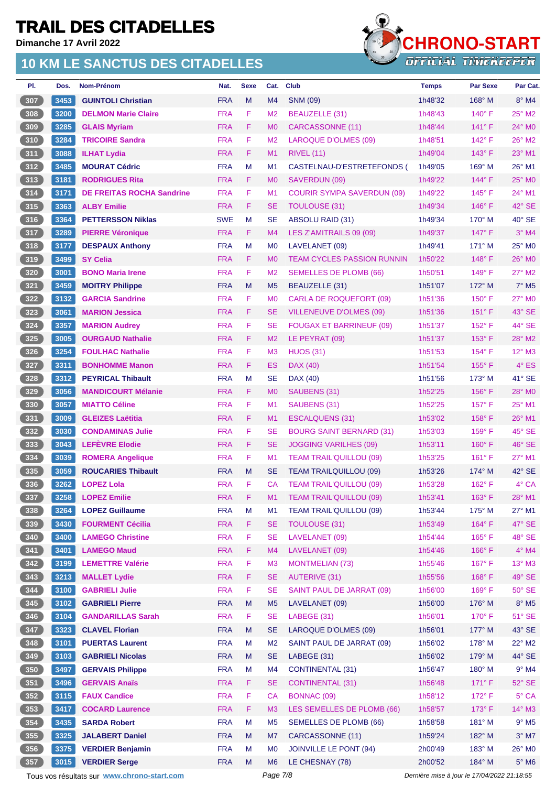**Dimanche 17 Avril 2022**

### **10 KM LE SANCTUS DES CITADELLES**



| 3453<br><b>FRA</b><br>307<br><b>GUINTOLI Christian</b><br>M<br>M4<br>1h48'32<br>168° M<br>$8^\circ$ M4<br><b>SNM (09)</b><br>308<br>3200<br><b>FRA</b><br>F.<br>25° M2<br><b>DELMON Marie Claire</b><br>M <sub>2</sub><br><b>BEAUZELLE (31)</b><br>1h48'43<br>$140^\circ$ F<br>309<br>3285<br>F.<br><b>GLAIS Myriam</b><br><b>FRA</b><br>M <sub>0</sub><br>1h48'44<br>$141^\circ$ F<br>$24^\circ$ MO<br>CARCASSONNE (11)<br>F<br><b>FRA</b><br>$26^\circ$ M2<br>310<br>3284<br>M <sub>2</sub><br><b>LAROQUE D'OLMES (09)</b><br>1h48'51<br>$142^\circ$ F<br><b>TRICOIRE Sandra</b><br>311<br>3088<br>F.<br><b>ILHAT Lydia</b><br><b>FRA</b><br>M1<br><b>RIVEL (11)</b><br>$143^\circ$ F<br>23° M1<br>1h49'04<br>312<br>3485<br><b>MOURAT Cédric</b><br><b>FRA</b><br>M<br>M <sub>1</sub><br>CASTELNAU-D'ESTRETEFONDS (<br>169° M<br>$26^{\circ}$ M1<br>1h49'05<br>313<br><b>FRA</b><br>F.<br>$144^\circ$ F<br>25° MO<br>3181<br><b>RODRIGUES Rita</b><br>M <sub>0</sub><br><b>SAVERDUN (09)</b><br>1h49'22<br>F<br>314<br><b>FRA</b><br>24° M1<br>3171<br><b>DE FREITAS ROCHA Sandrine</b><br>M1<br><b>COURIR SYMPA SAVERDUN (09)</b><br>$145^\circ$ F<br>1h49'22<br>315<br>F.<br>42° SE<br>3363<br><b>FRA</b><br><b>SE</b><br><b>TOULOUSE (31)</b><br>1h49'34<br>$146^\circ$ F<br><b>ALBY Emilie</b><br>40° SE<br>316<br>3364<br><b>SWE</b><br>M<br>SE<br><b>ABSOLU RAID (31)</b><br>1h49'34<br>$170^\circ$ M<br><b>PETTERSSON Niklas</b><br><b>FRA</b><br>F<br>$3°$ M4<br>317<br>3289<br>M4<br>LES Z'AMITRAILS 09 (09)<br>$147^\circ$ F<br><b>PIERRE Véronique</b><br>1h49'37<br>318<br>25° MO<br>3177<br><b>FRA</b><br>M<br>1h49'41<br>171° M<br><b>DESPAUX Anthony</b><br>M <sub>0</sub><br>LAVELANET (09)<br>319<br>3499<br><b>FRA</b><br>F.<br>26° MO<br><b>SY Celia</b><br>M <sub>0</sub><br><b>TEAM CYCLES PASSION RUNNIN</b><br>1h50'22<br>$148^\circ$ F<br><b>FRA</b><br>F.<br>320<br>3001<br>M <sub>2</sub><br>$149^\circ$ F<br>$27^\circ$ M2<br><b>BONO Maria Irene</b><br><b>SEMELLES DE PLOMB (66)</b><br>1h50'51<br>321<br>3459<br><b>FRA</b><br>M<br>M <sub>5</sub><br><b>BEAUZELLE (31)</b><br>1h51'07<br>172° M<br>$7^\circ$ M <sub>5</sub><br><b>MOITRY Philippe</b><br>322<br>3132<br><b>FRA</b><br>F.<br>27° M0<br><b>GARCIA Sandrine</b><br>M <sub>0</sub><br>$150^\circ$ F<br>CARLA DE ROQUEFORT (09)<br>1h51'36<br>323<br><b>FRA</b><br>F.<br>3061<br><b>MARION Jessica</b><br><b>SE</b><br><b>VILLENEUVE D'OLMES (09)</b><br>$151^\circ$ F<br>43° SE<br>1h51'36<br>324<br>F<br>44° SE<br>3357<br><b>FRA</b><br>152° F<br>SE<br><b>FOUGAX ET BARRINEUF (09)</b><br>1h51'37<br><b>MARION Audrey</b><br>325<br><b>FRA</b><br>F.<br>28° M2<br>3005<br><b>OURGAUD Nathalie</b><br>M <sub>2</sub><br>LE PEYRAT (09)<br>1h51'37<br>$153^\circ$ F<br>326<br>F.<br>$12^{\circ}$ M3<br>3254<br><b>FRA</b><br>M <sub>3</sub><br><b>HUOS (31)</b><br>1h51'53<br>$154^{\circ}$ F<br><b>FOULHAC Nathalie</b><br>327<br>F.<br>$4^\circ$ ES<br>3311<br><b>BONHOMME Manon</b><br><b>FRA</b><br>ES<br>DAX (40)<br>1h51'54<br>$155^{\circ}$ F |  |
|-----------------------------------------------------------------------------------------------------------------------------------------------------------------------------------------------------------------------------------------------------------------------------------------------------------------------------------------------------------------------------------------------------------------------------------------------------------------------------------------------------------------------------------------------------------------------------------------------------------------------------------------------------------------------------------------------------------------------------------------------------------------------------------------------------------------------------------------------------------------------------------------------------------------------------------------------------------------------------------------------------------------------------------------------------------------------------------------------------------------------------------------------------------------------------------------------------------------------------------------------------------------------------------------------------------------------------------------------------------------------------------------------------------------------------------------------------------------------------------------------------------------------------------------------------------------------------------------------------------------------------------------------------------------------------------------------------------------------------------------------------------------------------------------------------------------------------------------------------------------------------------------------------------------------------------------------------------------------------------------------------------------------------------------------------------------------------------------------------------------------------------------------------------------------------------------------------------------------------------------------------------------------------------------------------------------------------------------------------------------------------------------------------------------------------------------------------------------------------------------------------------------------------------------------------------------------------------------------------------------------------------------------------------------------------------------------------------------------------------------------------------------------------------------------------------------------------------------------------------------------------------------------------------------------------------------------------------------------------------------------------------------------------------------------------|--|
|                                                                                                                                                                                                                                                                                                                                                                                                                                                                                                                                                                                                                                                                                                                                                                                                                                                                                                                                                                                                                                                                                                                                                                                                                                                                                                                                                                                                                                                                                                                                                                                                                                                                                                                                                                                                                                                                                                                                                                                                                                                                                                                                                                                                                                                                                                                                                                                                                                                                                                                                                                                                                                                                                                                                                                                                                                                                                                                                                                                                                                                     |  |
|                                                                                                                                                                                                                                                                                                                                                                                                                                                                                                                                                                                                                                                                                                                                                                                                                                                                                                                                                                                                                                                                                                                                                                                                                                                                                                                                                                                                                                                                                                                                                                                                                                                                                                                                                                                                                                                                                                                                                                                                                                                                                                                                                                                                                                                                                                                                                                                                                                                                                                                                                                                                                                                                                                                                                                                                                                                                                                                                                                                                                                                     |  |
|                                                                                                                                                                                                                                                                                                                                                                                                                                                                                                                                                                                                                                                                                                                                                                                                                                                                                                                                                                                                                                                                                                                                                                                                                                                                                                                                                                                                                                                                                                                                                                                                                                                                                                                                                                                                                                                                                                                                                                                                                                                                                                                                                                                                                                                                                                                                                                                                                                                                                                                                                                                                                                                                                                                                                                                                                                                                                                                                                                                                                                                     |  |
|                                                                                                                                                                                                                                                                                                                                                                                                                                                                                                                                                                                                                                                                                                                                                                                                                                                                                                                                                                                                                                                                                                                                                                                                                                                                                                                                                                                                                                                                                                                                                                                                                                                                                                                                                                                                                                                                                                                                                                                                                                                                                                                                                                                                                                                                                                                                                                                                                                                                                                                                                                                                                                                                                                                                                                                                                                                                                                                                                                                                                                                     |  |
|                                                                                                                                                                                                                                                                                                                                                                                                                                                                                                                                                                                                                                                                                                                                                                                                                                                                                                                                                                                                                                                                                                                                                                                                                                                                                                                                                                                                                                                                                                                                                                                                                                                                                                                                                                                                                                                                                                                                                                                                                                                                                                                                                                                                                                                                                                                                                                                                                                                                                                                                                                                                                                                                                                                                                                                                                                                                                                                                                                                                                                                     |  |
|                                                                                                                                                                                                                                                                                                                                                                                                                                                                                                                                                                                                                                                                                                                                                                                                                                                                                                                                                                                                                                                                                                                                                                                                                                                                                                                                                                                                                                                                                                                                                                                                                                                                                                                                                                                                                                                                                                                                                                                                                                                                                                                                                                                                                                                                                                                                                                                                                                                                                                                                                                                                                                                                                                                                                                                                                                                                                                                                                                                                                                                     |  |
|                                                                                                                                                                                                                                                                                                                                                                                                                                                                                                                                                                                                                                                                                                                                                                                                                                                                                                                                                                                                                                                                                                                                                                                                                                                                                                                                                                                                                                                                                                                                                                                                                                                                                                                                                                                                                                                                                                                                                                                                                                                                                                                                                                                                                                                                                                                                                                                                                                                                                                                                                                                                                                                                                                                                                                                                                                                                                                                                                                                                                                                     |  |
|                                                                                                                                                                                                                                                                                                                                                                                                                                                                                                                                                                                                                                                                                                                                                                                                                                                                                                                                                                                                                                                                                                                                                                                                                                                                                                                                                                                                                                                                                                                                                                                                                                                                                                                                                                                                                                                                                                                                                                                                                                                                                                                                                                                                                                                                                                                                                                                                                                                                                                                                                                                                                                                                                                                                                                                                                                                                                                                                                                                                                                                     |  |
|                                                                                                                                                                                                                                                                                                                                                                                                                                                                                                                                                                                                                                                                                                                                                                                                                                                                                                                                                                                                                                                                                                                                                                                                                                                                                                                                                                                                                                                                                                                                                                                                                                                                                                                                                                                                                                                                                                                                                                                                                                                                                                                                                                                                                                                                                                                                                                                                                                                                                                                                                                                                                                                                                                                                                                                                                                                                                                                                                                                                                                                     |  |
|                                                                                                                                                                                                                                                                                                                                                                                                                                                                                                                                                                                                                                                                                                                                                                                                                                                                                                                                                                                                                                                                                                                                                                                                                                                                                                                                                                                                                                                                                                                                                                                                                                                                                                                                                                                                                                                                                                                                                                                                                                                                                                                                                                                                                                                                                                                                                                                                                                                                                                                                                                                                                                                                                                                                                                                                                                                                                                                                                                                                                                                     |  |
|                                                                                                                                                                                                                                                                                                                                                                                                                                                                                                                                                                                                                                                                                                                                                                                                                                                                                                                                                                                                                                                                                                                                                                                                                                                                                                                                                                                                                                                                                                                                                                                                                                                                                                                                                                                                                                                                                                                                                                                                                                                                                                                                                                                                                                                                                                                                                                                                                                                                                                                                                                                                                                                                                                                                                                                                                                                                                                                                                                                                                                                     |  |
|                                                                                                                                                                                                                                                                                                                                                                                                                                                                                                                                                                                                                                                                                                                                                                                                                                                                                                                                                                                                                                                                                                                                                                                                                                                                                                                                                                                                                                                                                                                                                                                                                                                                                                                                                                                                                                                                                                                                                                                                                                                                                                                                                                                                                                                                                                                                                                                                                                                                                                                                                                                                                                                                                                                                                                                                                                                                                                                                                                                                                                                     |  |
|                                                                                                                                                                                                                                                                                                                                                                                                                                                                                                                                                                                                                                                                                                                                                                                                                                                                                                                                                                                                                                                                                                                                                                                                                                                                                                                                                                                                                                                                                                                                                                                                                                                                                                                                                                                                                                                                                                                                                                                                                                                                                                                                                                                                                                                                                                                                                                                                                                                                                                                                                                                                                                                                                                                                                                                                                                                                                                                                                                                                                                                     |  |
|                                                                                                                                                                                                                                                                                                                                                                                                                                                                                                                                                                                                                                                                                                                                                                                                                                                                                                                                                                                                                                                                                                                                                                                                                                                                                                                                                                                                                                                                                                                                                                                                                                                                                                                                                                                                                                                                                                                                                                                                                                                                                                                                                                                                                                                                                                                                                                                                                                                                                                                                                                                                                                                                                                                                                                                                                                                                                                                                                                                                                                                     |  |
|                                                                                                                                                                                                                                                                                                                                                                                                                                                                                                                                                                                                                                                                                                                                                                                                                                                                                                                                                                                                                                                                                                                                                                                                                                                                                                                                                                                                                                                                                                                                                                                                                                                                                                                                                                                                                                                                                                                                                                                                                                                                                                                                                                                                                                                                                                                                                                                                                                                                                                                                                                                                                                                                                                                                                                                                                                                                                                                                                                                                                                                     |  |
|                                                                                                                                                                                                                                                                                                                                                                                                                                                                                                                                                                                                                                                                                                                                                                                                                                                                                                                                                                                                                                                                                                                                                                                                                                                                                                                                                                                                                                                                                                                                                                                                                                                                                                                                                                                                                                                                                                                                                                                                                                                                                                                                                                                                                                                                                                                                                                                                                                                                                                                                                                                                                                                                                                                                                                                                                                                                                                                                                                                                                                                     |  |
|                                                                                                                                                                                                                                                                                                                                                                                                                                                                                                                                                                                                                                                                                                                                                                                                                                                                                                                                                                                                                                                                                                                                                                                                                                                                                                                                                                                                                                                                                                                                                                                                                                                                                                                                                                                                                                                                                                                                                                                                                                                                                                                                                                                                                                                                                                                                                                                                                                                                                                                                                                                                                                                                                                                                                                                                                                                                                                                                                                                                                                                     |  |
|                                                                                                                                                                                                                                                                                                                                                                                                                                                                                                                                                                                                                                                                                                                                                                                                                                                                                                                                                                                                                                                                                                                                                                                                                                                                                                                                                                                                                                                                                                                                                                                                                                                                                                                                                                                                                                                                                                                                                                                                                                                                                                                                                                                                                                                                                                                                                                                                                                                                                                                                                                                                                                                                                                                                                                                                                                                                                                                                                                                                                                                     |  |
|                                                                                                                                                                                                                                                                                                                                                                                                                                                                                                                                                                                                                                                                                                                                                                                                                                                                                                                                                                                                                                                                                                                                                                                                                                                                                                                                                                                                                                                                                                                                                                                                                                                                                                                                                                                                                                                                                                                                                                                                                                                                                                                                                                                                                                                                                                                                                                                                                                                                                                                                                                                                                                                                                                                                                                                                                                                                                                                                                                                                                                                     |  |
|                                                                                                                                                                                                                                                                                                                                                                                                                                                                                                                                                                                                                                                                                                                                                                                                                                                                                                                                                                                                                                                                                                                                                                                                                                                                                                                                                                                                                                                                                                                                                                                                                                                                                                                                                                                                                                                                                                                                                                                                                                                                                                                                                                                                                                                                                                                                                                                                                                                                                                                                                                                                                                                                                                                                                                                                                                                                                                                                                                                                                                                     |  |
|                                                                                                                                                                                                                                                                                                                                                                                                                                                                                                                                                                                                                                                                                                                                                                                                                                                                                                                                                                                                                                                                                                                                                                                                                                                                                                                                                                                                                                                                                                                                                                                                                                                                                                                                                                                                                                                                                                                                                                                                                                                                                                                                                                                                                                                                                                                                                                                                                                                                                                                                                                                                                                                                                                                                                                                                                                                                                                                                                                                                                                                     |  |
| 328<br><b>FRA</b><br>M<br><b>SE</b><br>3312<br><b>PEYRICAL Thibault</b><br>DAX (40)<br>$173^\circ$ M<br>$41^\circ$ SE<br>1h51'56                                                                                                                                                                                                                                                                                                                                                                                                                                                                                                                                                                                                                                                                                                                                                                                                                                                                                                                                                                                                                                                                                                                                                                                                                                                                                                                                                                                                                                                                                                                                                                                                                                                                                                                                                                                                                                                                                                                                                                                                                                                                                                                                                                                                                                                                                                                                                                                                                                                                                                                                                                                                                                                                                                                                                                                                                                                                                                                    |  |
| 329<br>3056<br><b>FRA</b><br>F.<br>28° MO<br><b>MANDICOURT Mélanie</b><br>SAUBENS (31)<br>1h52'25<br>$156^\circ$ F<br>M <sub>0</sub>                                                                                                                                                                                                                                                                                                                                                                                                                                                                                                                                                                                                                                                                                                                                                                                                                                                                                                                                                                                                                                                                                                                                                                                                                                                                                                                                                                                                                                                                                                                                                                                                                                                                                                                                                                                                                                                                                                                                                                                                                                                                                                                                                                                                                                                                                                                                                                                                                                                                                                                                                                                                                                                                                                                                                                                                                                                                                                                |  |
| 330<br>3057<br>F.<br>157° F<br>25° M1<br><b>MIATTO Céline</b><br><b>FRA</b><br>M1<br>SAUBENS (31)<br>1h52'25                                                                                                                                                                                                                                                                                                                                                                                                                                                                                                                                                                                                                                                                                                                                                                                                                                                                                                                                                                                                                                                                                                                                                                                                                                                                                                                                                                                                                                                                                                                                                                                                                                                                                                                                                                                                                                                                                                                                                                                                                                                                                                                                                                                                                                                                                                                                                                                                                                                                                                                                                                                                                                                                                                                                                                                                                                                                                                                                        |  |
| F.<br>26° M1<br>331<br><b>FRA</b><br>M1<br>158°F<br>3009<br><b>GLEIZES Laëtitia</b><br>ESCALQUENS (31)<br>1h53'02                                                                                                                                                                                                                                                                                                                                                                                                                                                                                                                                                                                                                                                                                                                                                                                                                                                                                                                                                                                                                                                                                                                                                                                                                                                                                                                                                                                                                                                                                                                                                                                                                                                                                                                                                                                                                                                                                                                                                                                                                                                                                                                                                                                                                                                                                                                                                                                                                                                                                                                                                                                                                                                                                                                                                                                                                                                                                                                                   |  |
| F.<br>332<br><b>FRA</b><br><b>SE</b><br>45° SE<br>3030<br><b>CONDAMINAS Julie</b><br><b>BOURG SAINT BERNARD (31)</b><br>1h53'03<br>$159^\circ$ F                                                                                                                                                                                                                                                                                                                                                                                                                                                                                                                                                                                                                                                                                                                                                                                                                                                                                                                                                                                                                                                                                                                                                                                                                                                                                                                                                                                                                                                                                                                                                                                                                                                                                                                                                                                                                                                                                                                                                                                                                                                                                                                                                                                                                                                                                                                                                                                                                                                                                                                                                                                                                                                                                                                                                                                                                                                                                                    |  |
| 333<br>3043<br><b>LEFÈVRE Elodie</b><br><b>FRA</b><br>F.<br>46° SE<br><b>SE</b><br>$160^\circ$ F<br><b>JOGGING VARILHES (09)</b><br>1h53'11                                                                                                                                                                                                                                                                                                                                                                                                                                                                                                                                                                                                                                                                                                                                                                                                                                                                                                                                                                                                                                                                                                                                                                                                                                                                                                                                                                                                                                                                                                                                                                                                                                                                                                                                                                                                                                                                                                                                                                                                                                                                                                                                                                                                                                                                                                                                                                                                                                                                                                                                                                                                                                                                                                                                                                                                                                                                                                         |  |
| 334<br>F<br>27° M1<br>3039<br><b>ROMERA Angelique</b><br><b>FRA</b><br>M <sub>1</sub><br><b>TEAM TRAIL'QUILLOU (09)</b><br>$161^{\circ}$ F<br>1h53'25                                                                                                                                                                                                                                                                                                                                                                                                                                                                                                                                                                                                                                                                                                                                                                                                                                                                                                                                                                                                                                                                                                                                                                                                                                                                                                                                                                                                                                                                                                                                                                                                                                                                                                                                                                                                                                                                                                                                                                                                                                                                                                                                                                                                                                                                                                                                                                                                                                                                                                                                                                                                                                                                                                                                                                                                                                                                                               |  |
| 335<br><b>FRA</b><br>42° SE<br>3059<br><b>ROUCARIES Thibault</b><br>M<br><b>SE</b><br><b>TEAM TRAILQUILLOU (09)</b><br>1h53'26<br>174° M                                                                                                                                                                                                                                                                                                                                                                                                                                                                                                                                                                                                                                                                                                                                                                                                                                                                                                                                                                                                                                                                                                                                                                                                                                                                                                                                                                                                                                                                                                                                                                                                                                                                                                                                                                                                                                                                                                                                                                                                                                                                                                                                                                                                                                                                                                                                                                                                                                                                                                                                                                                                                                                                                                                                                                                                                                                                                                            |  |
| <b>FRA</b><br>F<br>336<br>3262<br>CA<br>$162^{\circ}$ F<br>4° CA<br><b>LOPEZ Lola</b><br><b>TEAM TRAIL'QUILLOU (09)</b><br>1h53'28                                                                                                                                                                                                                                                                                                                                                                                                                                                                                                                                                                                                                                                                                                                                                                                                                                                                                                                                                                                                                                                                                                                                                                                                                                                                                                                                                                                                                                                                                                                                                                                                                                                                                                                                                                                                                                                                                                                                                                                                                                                                                                                                                                                                                                                                                                                                                                                                                                                                                                                                                                                                                                                                                                                                                                                                                                                                                                                  |  |
| $\boxed{337}$<br>3258<br><b>FRA</b><br>$\mathsf F$<br>M1<br><b>TEAM TRAIL'QUILLOU (09)</b><br>163° F<br>28° M1<br><b>LOPEZ Emilie</b><br>1h53'41                                                                                                                                                                                                                                                                                                                                                                                                                                                                                                                                                                                                                                                                                                                                                                                                                                                                                                                                                                                                                                                                                                                                                                                                                                                                                                                                                                                                                                                                                                                                                                                                                                                                                                                                                                                                                                                                                                                                                                                                                                                                                                                                                                                                                                                                                                                                                                                                                                                                                                                                                                                                                                                                                                                                                                                                                                                                                                    |  |
| 338<br>27° M1<br>3264<br><b>LOPEZ Guillaume</b><br><b>FRA</b><br>M<br><b>TEAM TRAIL'QUILLOU (09)</b><br>1h53'44<br>$175^\circ$ M<br>M1                                                                                                                                                                                                                                                                                                                                                                                                                                                                                                                                                                                                                                                                                                                                                                                                                                                                                                                                                                                                                                                                                                                                                                                                                                                                                                                                                                                                                                                                                                                                                                                                                                                                                                                                                                                                                                                                                                                                                                                                                                                                                                                                                                                                                                                                                                                                                                                                                                                                                                                                                                                                                                                                                                                                                                                                                                                                                                              |  |
| 339<br>3430<br><b>FOURMENT Cécilia</b><br><b>FRA</b><br>F.<br><b>SE</b><br>47° SE<br><b>TOULOUSE (31)</b><br>1h53'49<br>$164^\circ$ F                                                                                                                                                                                                                                                                                                                                                                                                                                                                                                                                                                                                                                                                                                                                                                                                                                                                                                                                                                                                                                                                                                                                                                                                                                                                                                                                                                                                                                                                                                                                                                                                                                                                                                                                                                                                                                                                                                                                                                                                                                                                                                                                                                                                                                                                                                                                                                                                                                                                                                                                                                                                                                                                                                                                                                                                                                                                                                               |  |
| 340<br>F<br>3400<br><b>FRA</b><br><b>SE</b><br>165°F<br>48° SE<br><b>LAMEGO Christine</b><br>LAVELANET (09)<br>1h54'44                                                                                                                                                                                                                                                                                                                                                                                                                                                                                                                                                                                                                                                                                                                                                                                                                                                                                                                                                                                                                                                                                                                                                                                                                                                                                                                                                                                                                                                                                                                                                                                                                                                                                                                                                                                                                                                                                                                                                                                                                                                                                                                                                                                                                                                                                                                                                                                                                                                                                                                                                                                                                                                                                                                                                                                                                                                                                                                              |  |
| 341<br>F<br>$4^\circ$ M4<br>3401<br><b>FRA</b><br>M4<br>LAVELANET (09)<br>1h54'46<br>$166^\circ$ F<br><b>LAMEGO Maud</b>                                                                                                                                                                                                                                                                                                                                                                                                                                                                                                                                                                                                                                                                                                                                                                                                                                                                                                                                                                                                                                                                                                                                                                                                                                                                                                                                                                                                                                                                                                                                                                                                                                                                                                                                                                                                                                                                                                                                                                                                                                                                                                                                                                                                                                                                                                                                                                                                                                                                                                                                                                                                                                                                                                                                                                                                                                                                                                                            |  |
| F<br>342<br>$13^\circ$ M3<br>3199<br><b>FRA</b><br>M3<br><b>MONTMELIAN (73)</b><br>$167^\circ$ F<br><b>LEMETTRE Valérie</b><br>1h55'46                                                                                                                                                                                                                                                                                                                                                                                                                                                                                                                                                                                                                                                                                                                                                                                                                                                                                                                                                                                                                                                                                                                                                                                                                                                                                                                                                                                                                                                                                                                                                                                                                                                                                                                                                                                                                                                                                                                                                                                                                                                                                                                                                                                                                                                                                                                                                                                                                                                                                                                                                                                                                                                                                                                                                                                                                                                                                                              |  |
| 343<br>F.<br>49° SE<br>3213<br><b>MALLET Lydie</b><br><b>FRA</b><br><b>SE</b><br><b>AUTERIVE (31)</b><br>1h55'56<br>$168^\circ$ F                                                                                                                                                                                                                                                                                                                                                                                                                                                                                                                                                                                                                                                                                                                                                                                                                                                                                                                                                                                                                                                                                                                                                                                                                                                                                                                                                                                                                                                                                                                                                                                                                                                                                                                                                                                                                                                                                                                                                                                                                                                                                                                                                                                                                                                                                                                                                                                                                                                                                                                                                                                                                                                                                                                                                                                                                                                                                                                   |  |
| 344<br>3100<br>F.<br><b>SE</b><br>$50^\circ$ SE<br><b>GABRIELI Julie</b><br><b>FRA</b><br>SAINT PAUL DE JARRAT (09)<br>1h56'00<br>$169^\circ$ F                                                                                                                                                                                                                                                                                                                                                                                                                                                                                                                                                                                                                                                                                                                                                                                                                                                                                                                                                                                                                                                                                                                                                                                                                                                                                                                                                                                                                                                                                                                                                                                                                                                                                                                                                                                                                                                                                                                                                                                                                                                                                                                                                                                                                                                                                                                                                                                                                                                                                                                                                                                                                                                                                                                                                                                                                                                                                                     |  |
| 345<br>3102<br>$8^\circ$ M5<br><b>GABRIELI Pierre</b><br><b>FRA</b><br>M<br>M <sub>5</sub><br>LAVELANET (09)<br>1h56'00<br>176° M                                                                                                                                                                                                                                                                                                                                                                                                                                                                                                                                                                                                                                                                                                                                                                                                                                                                                                                                                                                                                                                                                                                                                                                                                                                                                                                                                                                                                                                                                                                                                                                                                                                                                                                                                                                                                                                                                                                                                                                                                                                                                                                                                                                                                                                                                                                                                                                                                                                                                                                                                                                                                                                                                                                                                                                                                                                                                                                   |  |
| 346<br>F<br>51° SE<br>3104<br><b>FRA</b><br><b>SE</b><br>1h56'01<br>170° F<br><b>GANDARILLAS Sarah</b><br>LABEGE (31)                                                                                                                                                                                                                                                                                                                                                                                                                                                                                                                                                                                                                                                                                                                                                                                                                                                                                                                                                                                                                                                                                                                                                                                                                                                                                                                                                                                                                                                                                                                                                                                                                                                                                                                                                                                                                                                                                                                                                                                                                                                                                                                                                                                                                                                                                                                                                                                                                                                                                                                                                                                                                                                                                                                                                                                                                                                                                                                               |  |
| 347<br><b>FRA</b><br>M<br><b>SE</b><br>LAROQUE D'OLMES (09)<br>$43^\circ$ SE<br>3323<br><b>CLAVEL Florian</b><br>1h56'01<br>$177^\circ$ M                                                                                                                                                                                                                                                                                                                                                                                                                                                                                                                                                                                                                                                                                                                                                                                                                                                                                                                                                                                                                                                                                                                                                                                                                                                                                                                                                                                                                                                                                                                                                                                                                                                                                                                                                                                                                                                                                                                                                                                                                                                                                                                                                                                                                                                                                                                                                                                                                                                                                                                                                                                                                                                                                                                                                                                                                                                                                                           |  |
| 348<br>3101<br>22° M2<br><b>PUERTAS Laurent</b><br><b>FRA</b><br>M<br>M <sub>2</sub><br>SAINT PAUL DE JARRAT (09)<br>1h56'02<br>178° M                                                                                                                                                                                                                                                                                                                                                                                                                                                                                                                                                                                                                                                                                                                                                                                                                                                                                                                                                                                                                                                                                                                                                                                                                                                                                                                                                                                                                                                                                                                                                                                                                                                                                                                                                                                                                                                                                                                                                                                                                                                                                                                                                                                                                                                                                                                                                                                                                                                                                                                                                                                                                                                                                                                                                                                                                                                                                                              |  |
| 349<br>44° SE<br>3103<br><b>GABRIELI Nicolas</b><br><b>FRA</b><br>M<br><b>SE</b><br>LABEGE (31)<br>1h56'02<br>179° M                                                                                                                                                                                                                                                                                                                                                                                                                                                                                                                                                                                                                                                                                                                                                                                                                                                                                                                                                                                                                                                                                                                                                                                                                                                                                                                                                                                                                                                                                                                                                                                                                                                                                                                                                                                                                                                                                                                                                                                                                                                                                                                                                                                                                                                                                                                                                                                                                                                                                                                                                                                                                                                                                                                                                                                                                                                                                                                                |  |
| 350<br>M4<br>$9°$ M4<br>3497<br><b>GERVAIS Philippe</b><br><b>FRA</b><br>M<br><b>CONTINENTAL (31)</b><br>1h56'47<br>180° M                                                                                                                                                                                                                                                                                                                                                                                                                                                                                                                                                                                                                                                                                                                                                                                                                                                                                                                                                                                                                                                                                                                                                                                                                                                                                                                                                                                                                                                                                                                                                                                                                                                                                                                                                                                                                                                                                                                                                                                                                                                                                                                                                                                                                                                                                                                                                                                                                                                                                                                                                                                                                                                                                                                                                                                                                                                                                                                          |  |
| 351<br>3496<br>F.<br><b>SE</b><br>52° SE<br><b>GERVAIS Anaïs</b><br><b>FRA</b><br><b>CONTINENTAL (31)</b><br>1h56'48<br>$171^\circ$ F                                                                                                                                                                                                                                                                                                                                                                                                                                                                                                                                                                                                                                                                                                                                                                                                                                                                                                                                                                                                                                                                                                                                                                                                                                                                                                                                                                                                                                                                                                                                                                                                                                                                                                                                                                                                                                                                                                                                                                                                                                                                                                                                                                                                                                                                                                                                                                                                                                                                                                                                                                                                                                                                                                                                                                                                                                                                                                               |  |
| 352<br>F<br>$5^{\circ}$ CA<br>3115<br><b>FAUX Candice</b><br><b>FRA</b><br>CA<br><b>BONNAC (09)</b><br>1h58'12<br>$172^\circ$ F                                                                                                                                                                                                                                                                                                                                                                                                                                                                                                                                                                                                                                                                                                                                                                                                                                                                                                                                                                                                                                                                                                                                                                                                                                                                                                                                                                                                                                                                                                                                                                                                                                                                                                                                                                                                                                                                                                                                                                                                                                                                                                                                                                                                                                                                                                                                                                                                                                                                                                                                                                                                                                                                                                                                                                                                                                                                                                                     |  |
| F<br>353<br>3417<br><b>FRA</b><br>LES SEMELLES DE PLOMB (66)<br>$14^{\circ}$ M3<br><b>COCARD Laurence</b><br>M <sub>3</sub><br>1h58'57<br>$173^\circ$ F                                                                                                                                                                                                                                                                                                                                                                                                                                                                                                                                                                                                                                                                                                                                                                                                                                                                                                                                                                                                                                                                                                                                                                                                                                                                                                                                                                                                                                                                                                                                                                                                                                                                                                                                                                                                                                                                                                                                                                                                                                                                                                                                                                                                                                                                                                                                                                                                                                                                                                                                                                                                                                                                                                                                                                                                                                                                                             |  |
| 354<br>$9^\circ$ M5<br>3435<br><b>SARDA Robert</b><br><b>FRA</b><br>M<br>M <sub>5</sub><br><b>SEMELLES DE PLOMB (66)</b><br>1h58'58<br>181° M                                                                                                                                                                                                                                                                                                                                                                                                                                                                                                                                                                                                                                                                                                                                                                                                                                                                                                                                                                                                                                                                                                                                                                                                                                                                                                                                                                                                                                                                                                                                                                                                                                                                                                                                                                                                                                                                                                                                                                                                                                                                                                                                                                                                                                                                                                                                                                                                                                                                                                                                                                                                                                                                                                                                                                                                                                                                                                       |  |
| 355<br>3325<br><b>JALABERT Daniel</b><br><b>FRA</b><br>182° M<br>$3^\circ$ M7<br>M<br>M7<br>CARCASSONNE (11)<br>1h59'24                                                                                                                                                                                                                                                                                                                                                                                                                                                                                                                                                                                                                                                                                                                                                                                                                                                                                                                                                                                                                                                                                                                                                                                                                                                                                                                                                                                                                                                                                                                                                                                                                                                                                                                                                                                                                                                                                                                                                                                                                                                                                                                                                                                                                                                                                                                                                                                                                                                                                                                                                                                                                                                                                                                                                                                                                                                                                                                             |  |
| 356<br>3375<br>26° MO<br><b>VERDIER Benjamin</b><br><b>FRA</b><br>M<br>M <sub>0</sub><br><b>JOINVILLE LE PONT (94)</b><br>2h00'49<br>183° M                                                                                                                                                                                                                                                                                                                                                                                                                                                                                                                                                                                                                                                                                                                                                                                                                                                                                                                                                                                                                                                                                                                                                                                                                                                                                                                                                                                                                                                                                                                                                                                                                                                                                                                                                                                                                                                                                                                                                                                                                                                                                                                                                                                                                                                                                                                                                                                                                                                                                                                                                                                                                                                                                                                                                                                                                                                                                                         |  |
| 357<br>$5^\circ$ M6<br>3015<br><b>FRA</b><br>M<br>M <sub>6</sub><br>LE CHESNAY (78)<br>2h00'52<br>184° M<br><b>VERDIER Serge</b><br>Page 7/8<br>Dernière mise à jour le 17/04/2022 21:18:55<br>Tous vos résultats sur www.chrono-start.com                                                                                                                                                                                                                                                                                                                                                                                                                                                                                                                                                                                                                                                                                                                                                                                                                                                                                                                                                                                                                                                                                                                                                                                                                                                                                                                                                                                                                                                                                                                                                                                                                                                                                                                                                                                                                                                                                                                                                                                                                                                                                                                                                                                                                                                                                                                                                                                                                                                                                                                                                                                                                                                                                                                                                                                                          |  |